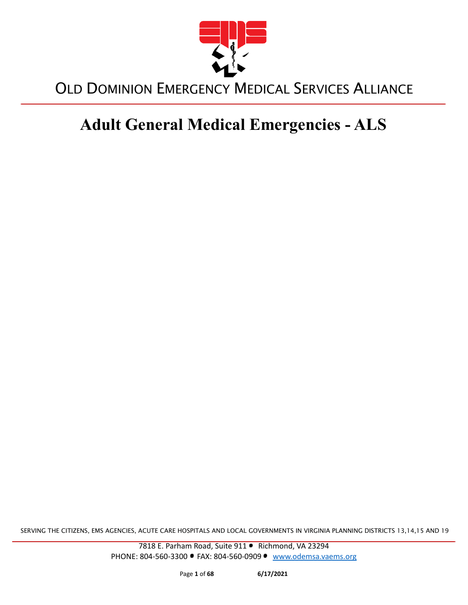

# **Adult General Medical Emergencies - ALS**

SERVING THE CITIZENS, EMS AGENCIES, ACUTE CARE HOSPITALS AND LOCAL GOVERNMENTS IN VIRGINIA PLANNING DISTRICTS 13,14,15 AND 19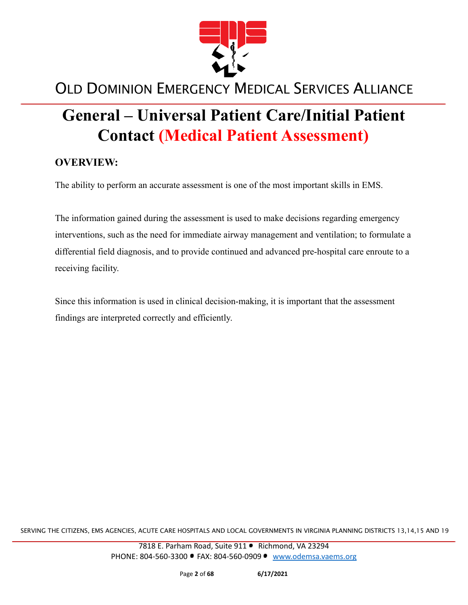

# **General – Universal Patient Care/Initial Patient Contact (Medical Patient Assessment)**

#### **OVERVIEW:**

The ability to perform an accurate assessment is one of the most important skills in EMS.

The information gained during the assessment is used to make decisions regarding emergency interventions, such as the need for immediate airway management and ventilation; to formulate a differential field diagnosis, and to provide continued and advanced pre-hospital care enroute to a receiving facility.

Since this information is used in clinical decision-making, it is important that the assessment findings are interpreted correctly and efficiently.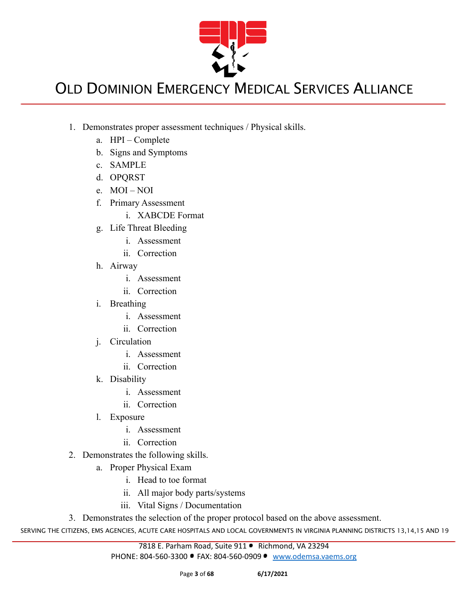

- 1. Demonstrates proper assessment techniques / Physical skills.
	- a. HPI Complete
	- b. Signs and Symptoms
	- c. SAMPLE
	- d. OPQRST
	- e. MOI NOI
	- f. Primary Assessment
		- i. XABCDE Format
	- g. Life Threat Bleeding
		- i. Assessment
		- ii. Correction
	- h. Airway
		- i. Assessment
		- ii. Correction
	- i. Breathing
		- i. Assessment
		- ii. Correction
	- j. Circulation
		- i. Assessment
		- ii. Correction
	- k. Disability
		- i. Assessment
		- ii. Correction
	- l. Exposure
		- i. Assessment
		- ii. Correction
- 2. Demonstrates the following skills.
	- a. Proper Physical Exam
		- i. Head to toe format
		- ii. All major body parts/systems
		- iii. Vital Signs / Documentation
- 3. Demonstrates the selection of the proper protocol based on the above assessment.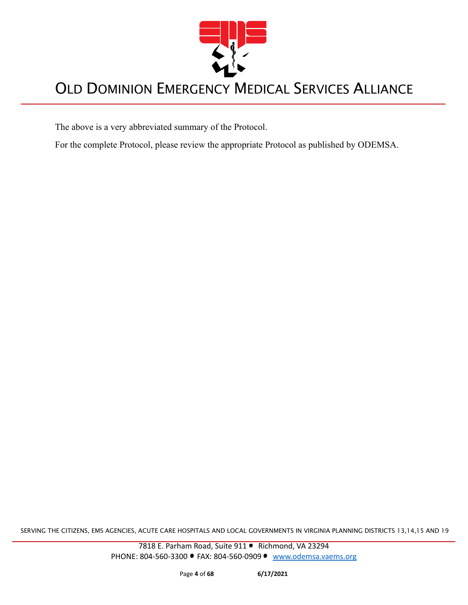

The above is a very abbreviated summary of the Protocol.

For the complete Protocol, please review the appropriate Protocol as published by ODEMSA.

SERVING THE CITIZENS, EMS AGENCIES, ACUTE CARE HOSPITALS AND LOCAL GOVERNMENTS IN VIRGINIA PLANNING DISTRICTS 13,14,15 AND 19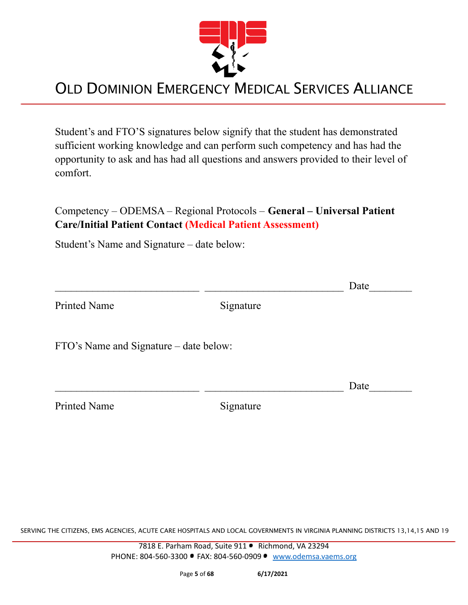

Student's and FTO'S signatures below signify that the student has demonstrated sufficient working knowledge and can perform such competency and has had the opportunity to ask and has had all questions and answers provided to their level of comfort.

Competency – ODEMSA – Regional Protocols – **General – Universal Patient Care/Initial Patient Contact (Medical Patient Assessment)**

Student's Name and Signature – date below:

|                                        |           | Date |
|----------------------------------------|-----------|------|
| <b>Printed Name</b>                    | Signature |      |
| FTO's Name and Signature – date below: |           |      |
|                                        |           | Date |
| <b>Printed Name</b>                    | Signature |      |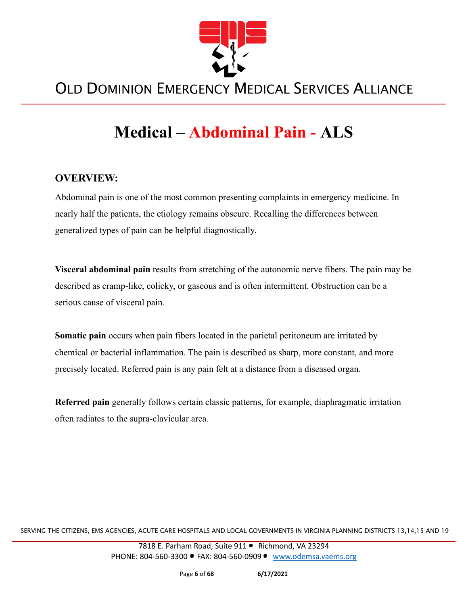

# **Medical – Abdominal Pain - ALS**

#### **OVERVIEW:**

Abdominal pain is one of the most common presenting complaints in emergency medicine. In nearly half the patients, the etiology remains obscure. Recalling the differences between generalized types of pain can be helpful diagnostically.

**Visceral abdominal pain** results from stretching of the autonomic nerve fibers. The pain may be described as cramp-like, colicky, or gaseous and is often intermittent. Obstruction can be a serious cause of visceral pain.

**Somatic pain** occurs when pain fibers located in the parietal peritoneum are irritated by chemical or bacterial inflammation. The pain is described as sharp, more constant, and more precisely located. Referred pain is any pain felt at a distance from a diseased organ.

**Referred pain** generally follows certain classic patterns, for example, diaphragmatic irritation often radiates to the supra-clavicular area.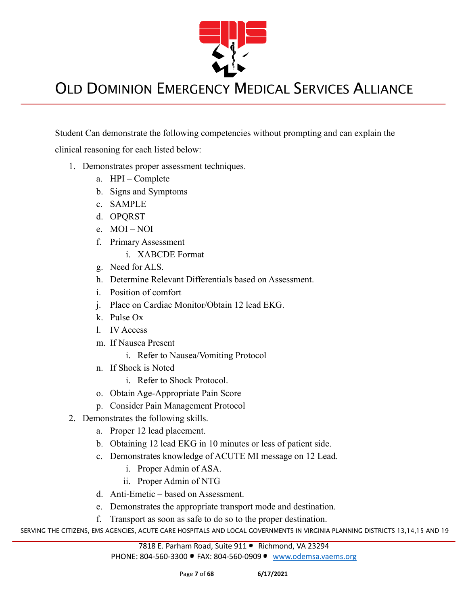

Student Can demonstrate the following competencies without prompting and can explain the

clinical reasoning for each listed below:

- 1. Demonstrates proper assessment techniques.
	- a. HPI Complete
	- b. Signs and Symptoms
	- c. SAMPLE
	- d. OPQRST
	- e. MOI NOI
	- f. Primary Assessment
		- i. XABCDE Format
	- g. Need for ALS.
	- h. Determine Relevant Differentials based on Assessment.
	- i. Position of comfort
	- j. Place on Cardiac Monitor/Obtain 12 lead EKG.
	- k. Pulse Ox
	- l. IV Access
	- m. If Nausea Present
		- i. Refer to Nausea/Vomiting Protocol
	- n. If Shock is Noted
		- i. Refer to Shock Protocol.
	- o. Obtain Age-Appropriate Pain Score
	- p. Consider Pain Management Protocol
- 2. Demonstrates the following skills.
	- a. Proper 12 lead placement.
	- b. Obtaining 12 lead EKG in 10 minutes or less of patient side.
	- c. Demonstrates knowledge of ACUTE MI message on 12 Lead.
		- i. Proper Admin of ASA.
		- ii. Proper Admin of NTG
	- d. Anti-Emetic based on Assessment.
	- e. Demonstrates the appropriate transport mode and destination.
	- f. Transport as soon as safe to do so to the proper destination.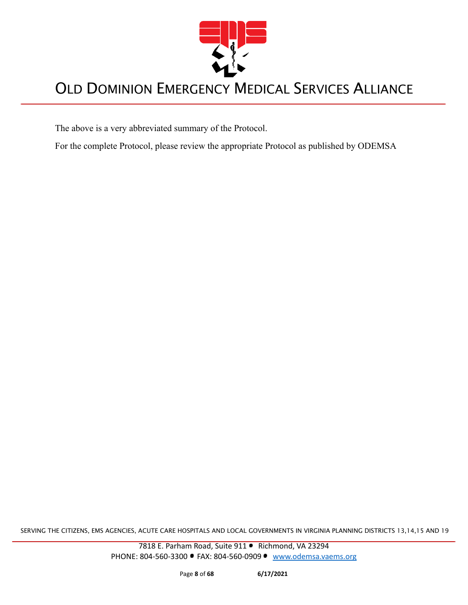

The above is a very abbreviated summary of the Protocol.

For the complete Protocol, please review the appropriate Protocol as published by ODEMSA

SERVING THE CITIZENS, EMS AGENCIES, ACUTE CARE HOSPITALS AND LOCAL GOVERNMENTS IN VIRGINIA PLANNING DISTRICTS 13,14,15 AND 19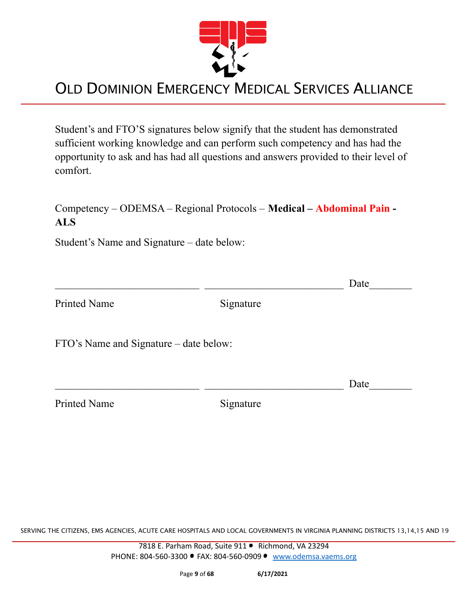

Student's and FTO'S signatures below signify that the student has demonstrated sufficient working knowledge and can perform such competency and has had the opportunity to ask and has had all questions and answers provided to their level of comfort.

#### Competency – ODEMSA – Regional Protocols – **Medical – Abdominal Pain - ALS**

 $\Box$  Date

Student's Name and Signature – date below:

Printed Name Signature

FTO's Name and Signature – date below:

 $\Box$  Date

Printed Name Signature

SERVING THE CITIZENS, EMS AGENCIES, ACUTE CARE HOSPITALS AND LOCAL GOVERNMENTS IN VIRGINIA PLANNING DISTRICTS 13,14,15 AND 19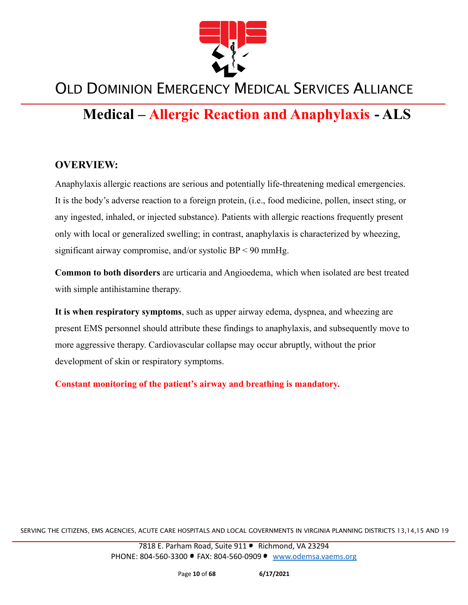

#### **Medical – Allergic Reaction and Anaphylaxis - ALS**

#### **OVERVIEW:**

Anaphylaxis allergic reactions are serious and potentially life-threatening medical emergencies. It is the body's adverse reaction to a foreign protein, (i.e., food medicine, pollen, insect sting, or any ingested, inhaled, or injected substance). Patients with allergic reactions frequently present only with local or generalized swelling; in contrast, anaphylaxis is characterized by wheezing, significant airway compromise, and/or systolic BP < 90 mmHg.

**Common to both disorders** are urticaria and Angioedema, which when isolated are best treated with simple antihistamine therapy.

**It is when respiratory symptoms**, such as upper airway edema, dyspnea, and wheezing are present EMS personnel should attribute these findings to anaphylaxis, and subsequently move to more aggressive therapy. Cardiovascular collapse may occur abruptly, without the prior development of skin or respiratory symptoms.

**Constant monitoring of the patient's airway and breathing is mandatory.**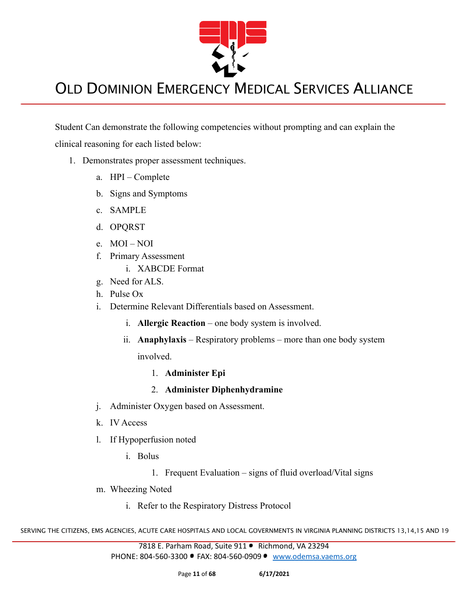

Student Can demonstrate the following competencies without prompting and can explain the clinical reasoning for each listed below:

- 1. Demonstrates proper assessment techniques.
	- a. HPI Complete
	- b. Signs and Symptoms
	- c. SAMPLE
	- d. OPQRST
	- e. MOI NOI
	- f. Primary Assessment
		- i. XABCDE Format
	- g. Need for ALS.
	- h. Pulse Ox
	- i. Determine Relevant Differentials based on Assessment.
		- i. **Allergic Reaction** one body system is involved.
		- ii. **Anaphylaxis** Respiratory problems more than one body system involved.
			- 1. **Administer Epi**
			- 2. **Administer Diphenhydramine**
	- j. Administer Oxygen based on Assessment.
	- k. IV Access
	- l. If Hypoperfusion noted
		- i. Bolus
			- 1. Frequent Evaluation signs of fluid overload/Vital signs
	- m. Wheezing Noted
		- i. Refer to the Respiratory Distress Protocol

SERVING THE CITIZENS, EMS AGENCIES, ACUTE CARE HOSPITALS AND LOCAL GOVERNMENTS IN VIRGINIA PLANNING DISTRICTS 13,14,15 AND 19

7818 E. Parham Road, Suite 911 · Richmond, VA 23294 PHONE: 804-560-3300 FAX: 804-560-0909 [www.odemsa.vaems.org](http://www.odemsa.vaems.org)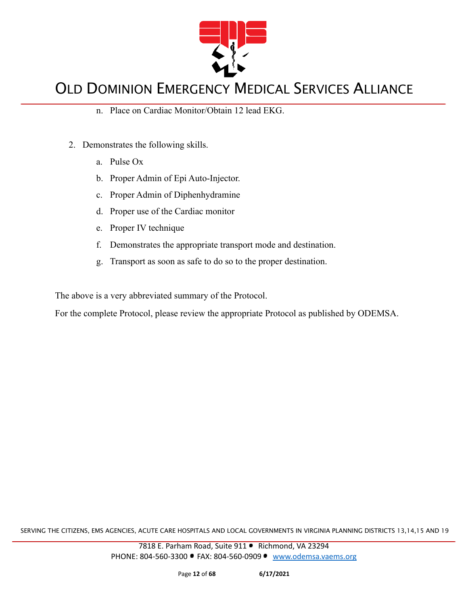

- n. Place on Cardiac Monitor/Obtain 12 lead EKG.
- 2. Demonstrates the following skills.
	- a. Pulse Ox
	- b. Proper Admin of Epi Auto-Injector.
	- c. Proper Admin of Diphenhydramine
	- d. Proper use of the Cardiac monitor
	- e. Proper IV technique
	- f. Demonstrates the appropriate transport mode and destination.
	- g. Transport as soon as safe to do so to the proper destination.

The above is a very abbreviated summary of the Protocol.

For the complete Protocol, please review the appropriate Protocol as published by ODEMSA.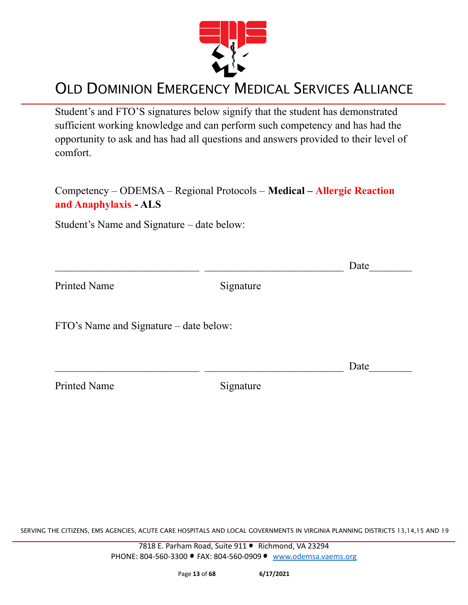

Student's and FTO'S signatures below signify that the student has demonstrated sufficient working knowledge and can perform such competency and has had the opportunity to ask and has had all questions and answers provided to their level of comfort.

Competency – ODEMSA – Regional Protocols – **Medical – Allergic Reaction and Anaphylaxis - ALS**

Student's Name and Signature – date below:

|                                        |           | Date |
|----------------------------------------|-----------|------|
| <b>Printed Name</b>                    | Signature |      |
| FTO's Name and Signature – date below: |           |      |
|                                        |           | Date |
| <b>Printed Name</b>                    | Signature |      |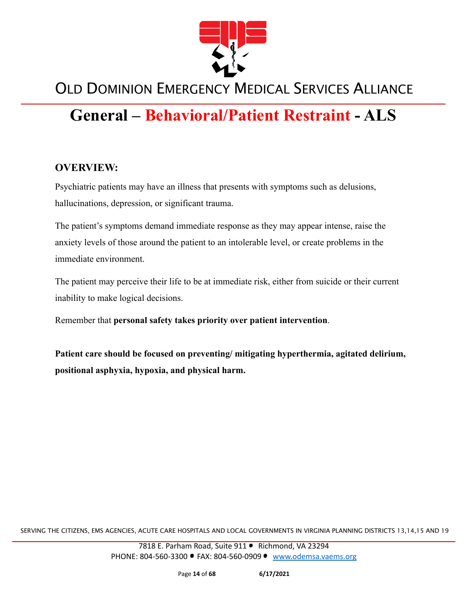

## **General – Behavioral/Patient Restraint - ALS**

#### **OVERVIEW:**

Psychiatric patients may have an illness that presents with symptoms such as delusions, hallucinations, depression, or significant trauma.

The patient's symptoms demand immediate response as they may appear intense, raise the anxiety levels of those around the patient to an intolerable level, or create problems in the immediate environment.

The patient may perceive their life to be at immediate risk, either from suicide or their current inability to make logical decisions.

Remember that **personal safety takes priority over patient intervention**.

**Patient care should be focused on preventing/ mitigating hyperthermia, agitated delirium, positional asphyxia, hypoxia, and physical harm.**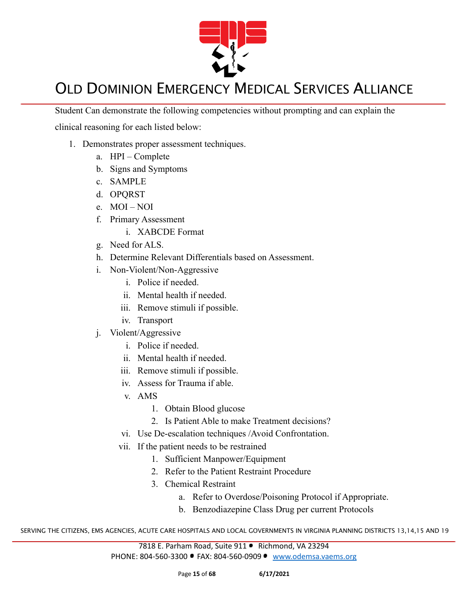

Student Can demonstrate the following competencies without prompting and can explain the

clinical reasoning for each listed below:

- 1. Demonstrates proper assessment techniques.
	- a. HPI Complete
	- b. Signs and Symptoms
	- c. SAMPLE
	- d. OPQRST
	- e. MOI NOI
	- f. Primary Assessment
		- i. XABCDE Format
	- g. Need for ALS.
	- h. Determine Relevant Differentials based on Assessment.
	- i. Non-Violent/Non-Aggressive
		- i. Police if needed.
		- ii. Mental health if needed.
		- iii. Remove stimuli if possible.
		- iv. Transport
	- j. Violent/Aggressive
		- i. Police if needed.
		- ii. Mental health if needed.
		- iii. Remove stimuli if possible.
		- iv. Assess for Trauma if able.
		- v. AMS
			- 1. Obtain Blood glucose
			- 2. Is Patient Able to make Treatment decisions?
		- vi. Use De-escalation techniques /Avoid Confrontation.
		- vii. If the patient needs to be restrained
			- 1. Sufficient Manpower/Equipment
			- 2. Refer to the Patient Restraint Procedure
			- 3. Chemical Restraint
				- a. Refer to Overdose/Poisoning Protocol if Appropriate.
				- b. Benzodiazepine Class Drug per current Protocols

SERVING THE CITIZENS, EMS AGENCIES, ACUTE CARE HOSPITALS AND LOCAL GOVERNMENTS IN VIRGINIA PLANNING DISTRICTS 13,14,15 AND 19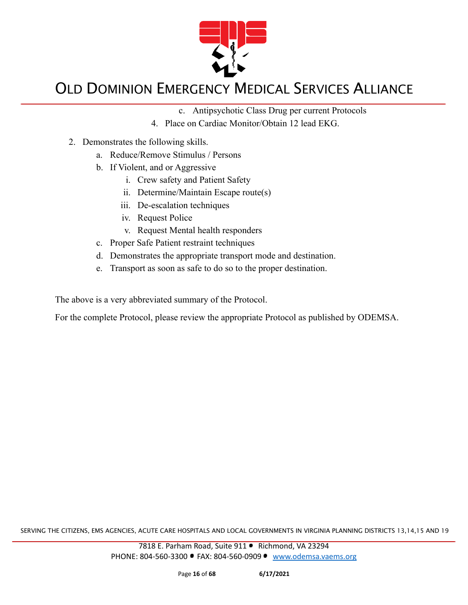

- c. Antipsychotic Class Drug per current Protocols
- 4. Place on Cardiac Monitor/Obtain 12 lead EKG.
- 2. Demonstrates the following skills.
	- a. Reduce/Remove Stimulus / Persons
	- b. If Violent, and or Aggressive
		- i. Crew safety and Patient Safety
		- ii. Determine/Maintain Escape route(s)
		- iii. De-escalation techniques
		- iv. Request Police
		- v. Request Mental health responders
	- c. Proper Safe Patient restraint techniques
	- d. Demonstrates the appropriate transport mode and destination.
	- e. Transport as soon as safe to do so to the proper destination.

The above is a very abbreviated summary of the Protocol.

For the complete Protocol, please review the appropriate Protocol as published by ODEMSA.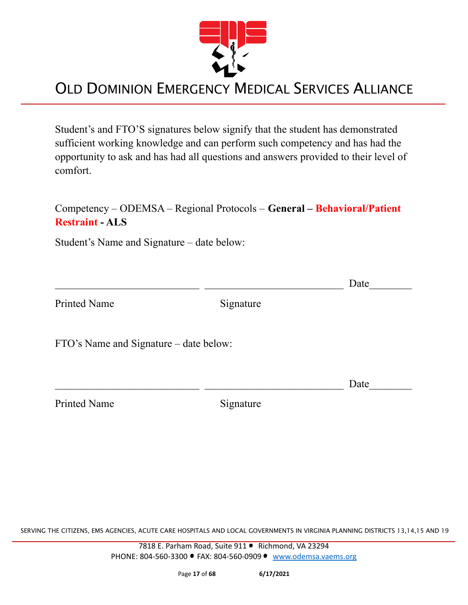

Student's and FTO'S signatures below signify that the student has demonstrated sufficient working knowledge and can perform such competency and has had the opportunity to ask and has had all questions and answers provided to their level of comfort.

#### Competency – ODEMSA – Regional Protocols – **General – Behavioral/Patient Restraint - ALS**

Student's Name and Signature – date below:

|                                        |           | Date |
|----------------------------------------|-----------|------|
| <b>Printed Name</b>                    | Signature |      |
| FTO's Name and Signature – date below: |           |      |
|                                        |           | Date |

Printed Name Signature

SERVING THE CITIZENS, EMS AGENCIES, ACUTE CARE HOSPITALS AND LOCAL GOVERNMENTS IN VIRGINIA PLANNING DISTRICTS 13,14,15 AND 19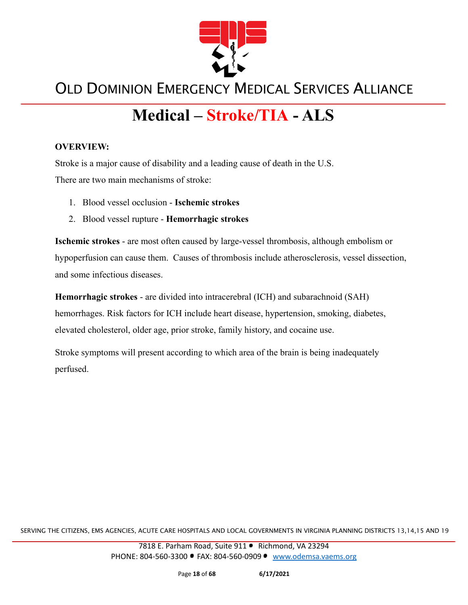

# **Medical – Stroke/TIA - ALS**

#### **OVERVIEW:**

Stroke is a major cause of disability and a leading cause of death in the U.S.

There are two main mechanisms of stroke:

- 1. Blood vessel occlusion **Ischemic strokes**
- 2. Blood vessel rupture **Hemorrhagic strokes**

**Ischemic strokes** - are most often caused by large-vessel thrombosis, although embolism or hypoperfusion can cause them. Causes of thrombosis include atherosclerosis, vessel dissection, and some infectious diseases.

**Hemorrhagic strokes** - are divided into intracerebral (ICH) and subarachnoid (SAH) hemorrhages. Risk factors for ICH include heart disease, hypertension, smoking, diabetes, elevated cholesterol, older age, prior stroke, family history, and cocaine use.

Stroke symptoms will present according to which area of the brain is being inadequately perfused.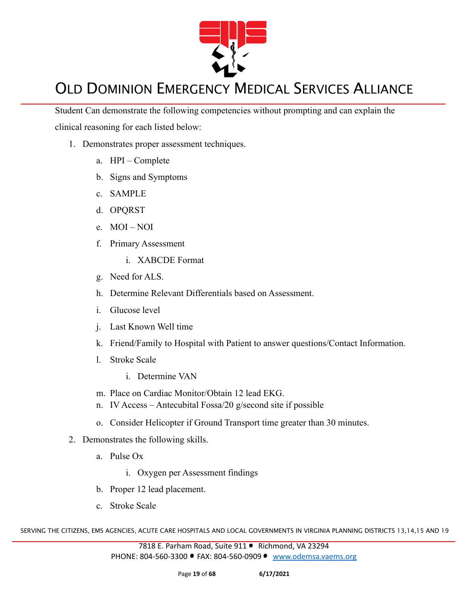

Student Can demonstrate the following competencies without prompting and can explain the clinical reasoning for each listed below:

- 1. Demonstrates proper assessment techniques.
	- a. HPI Complete
	- b. Signs and Symptoms
	- c. SAMPLE
	- d. OPQRST
	- e. MOI NOI
	- f. Primary Assessment
		- i. XABCDE Format
	- g. Need for ALS.
	- h. Determine Relevant Differentials based on Assessment.
	- i. Glucose level
	- j. Last Known Well time
	- k. Friend/Family to Hospital with Patient to answer questions/Contact Information.
	- l. Stroke Scale
		- i. Determine VAN
	- m. Place on Cardiac Monitor/Obtain 12 lead EKG.
	- n. IV Access Antecubital Fossa/20 g/second site if possible
	- o. Consider Helicopter if Ground Transport time greater than 30 minutes.
- 2. Demonstrates the following skills.
	- a. Pulse Ox
		- i. Oxygen per Assessment findings
	- b. Proper 12 lead placement.
	- c. Stroke Scale

SERVING THE CITIZENS, EMS AGENCIES, ACUTE CARE HOSPITALS AND LOCAL GOVERNMENTS IN VIRGINIA PLANNING DISTRICTS 13,14,15 AND 19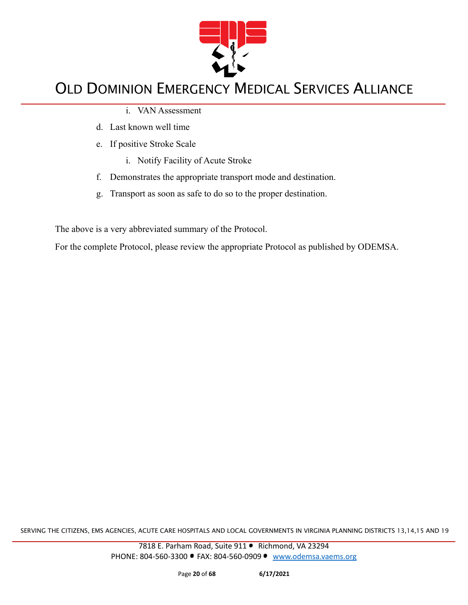

- i. VAN Assessment
- d. Last known well time
- e. If positive Stroke Scale
	- i. Notify Facility of Acute Stroke
- f. Demonstrates the appropriate transport mode and destination.
- g. Transport as soon as safe to do so to the proper destination.

The above is a very abbreviated summary of the Protocol.

For the complete Protocol, please review the appropriate Protocol as published by ODEMSA.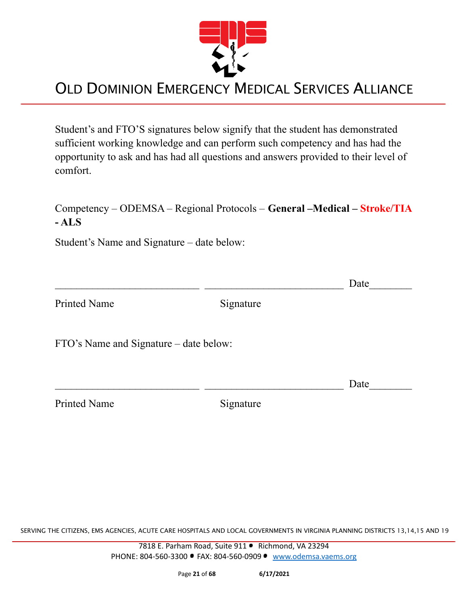

Student's and FTO'S signatures below signify that the student has demonstrated sufficient working knowledge and can perform such competency and has had the opportunity to ask and has had all questions and answers provided to their level of comfort.

#### Competency – ODEMSA – Regional Protocols – **General –Medical – Stroke/TIA - ALS**

Student's Name and Signature – date below:

 $\Box$  Date

Printed Name Signature

FTO's Name and Signature – date below:

 $\Box$  Date

Printed Name Signature

SERVING THE CITIZENS, EMS AGENCIES, ACUTE CARE HOSPITALS AND LOCAL GOVERNMENTS IN VIRGINIA PLANNING DISTRICTS 13,14,15 AND 19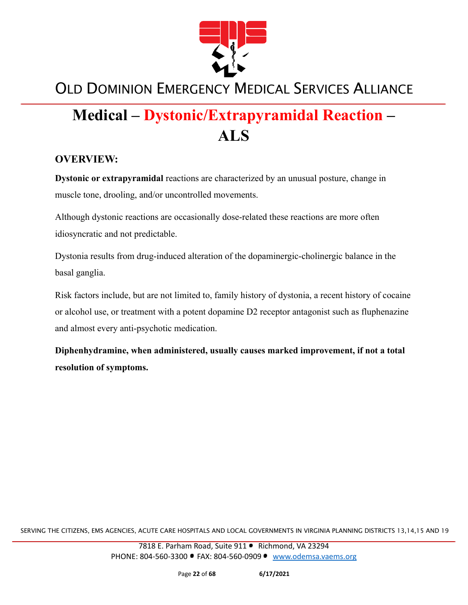

# **Medical – Dystonic/Extrapyramidal Reaction – ALS**

#### **OVERVIEW:**

**Dystonic or extrapyramidal** reactions are characterized by an unusual posture, change in muscle tone, drooling, and/or uncontrolled movements.

Although dystonic reactions are occasionally dose-related these reactions are more often idiosyncratic and not predictable.

Dystonia results from drug-induced alteration of the dopaminergic-cholinergic balance in the basal ganglia.

Risk factors include, but are not limited to, family history of dystonia, a recent history of cocaine or alcohol use, or treatment with a potent dopamine D2 receptor antagonist such as fluphenazine and almost every anti-psychotic medication.

**Diphenhydramine, when administered, usually causes marked improvement, if not a total resolution of symptoms.**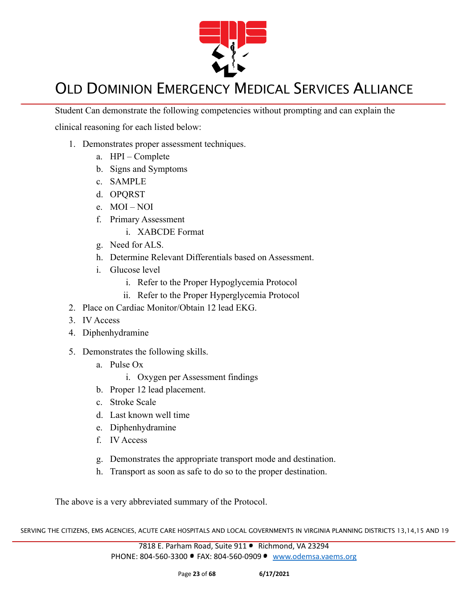

Student Can demonstrate the following competencies without prompting and can explain the

clinical reasoning for each listed below:

- 1. Demonstrates proper assessment techniques.
	- a. HPI Complete
	- b. Signs and Symptoms
	- c. SAMPLE
	- d. OPQRST
	- e. MOI NOI
	- f. Primary Assessment
		- i. XABCDE Format
	- g. Need for ALS.
	- h. Determine Relevant Differentials based on Assessment.
	- i. Glucose level
		- i. Refer to the Proper Hypoglycemia Protocol
		- ii. Refer to the Proper Hyperglycemia Protocol
- 2. Place on Cardiac Monitor/Obtain 12 lead EKG.
- 3. IV Access
- 4. Diphenhydramine
- 5. Demonstrates the following skills.
	- a. Pulse Ox
		- i. Oxygen per Assessment findings
	- b. Proper 12 lead placement.
	- c. Stroke Scale
	- d. Last known well time
	- e. Diphenhydramine
	- f. IV Access
	- g. Demonstrates the appropriate transport mode and destination.
	- h. Transport as soon as safe to do so to the proper destination.

The above is a very abbreviated summary of the Protocol.

SERVING THE CITIZENS, EMS AGENCIES, ACUTE CARE HOSPITALS AND LOCAL GOVERNMENTS IN VIRGINIA PLANNING DISTRICTS 13,14,15 AND 19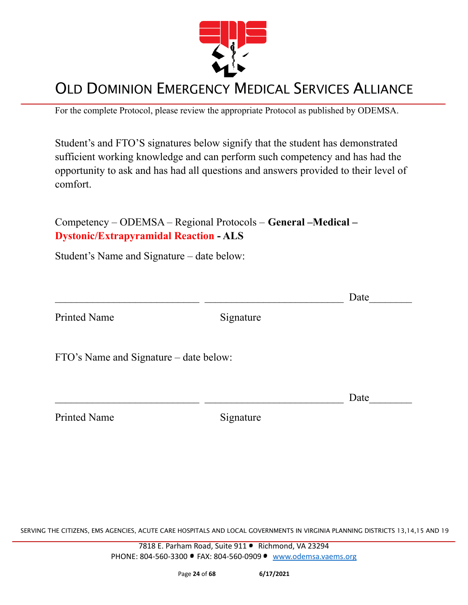

For the complete Protocol, please review the appropriate Protocol as published by ODEMSA.

Student's and FTO'S signatures below signify that the student has demonstrated sufficient working knowledge and can perform such competency and has had the opportunity to ask and has had all questions and answers provided to their level of comfort.

Competency – ODEMSA – Regional Protocols – **General –Medical – Dystonic/Extrapyramidal Reaction - ALS**

Student's Name and Signature – date below:

|                                        |           | Date |
|----------------------------------------|-----------|------|
| <b>Printed Name</b>                    | Signature |      |
| FTO's Name and Signature – date below: |           |      |
|                                        |           | Date |
| <b>Printed Name</b>                    | Signature |      |

SERVING THE CITIZENS, EMS AGENCIES, ACUTE CARE HOSPITALS AND LOCAL GOVERNMENTS IN VIRGINIA PLANNING DISTRICTS 13,14,15 AND 19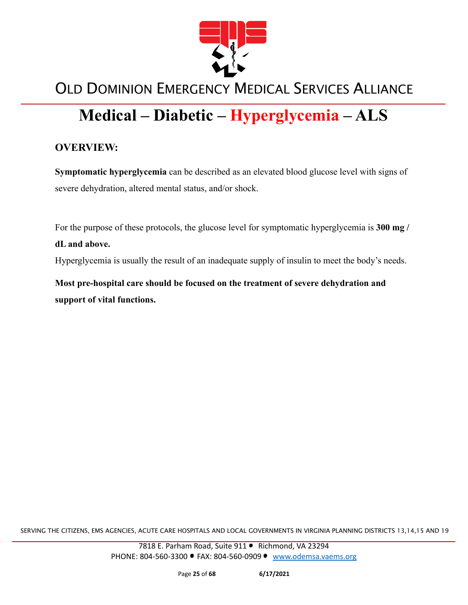

# **Medical – Diabetic – Hyperglycemia – ALS**

#### **OVERVIEW:**

**Symptomatic hyperglycemia** can be described as an elevated blood glucose level with signs of severe dehydration, altered mental status, and/or shock.

For the purpose of these protocols, the glucose level for symptomatic hyperglycemia is **300 mg /**

#### **dL and above.**

Hyperglycemia is usually the result of an inadequate supply of insulin to meet the body's needs.

**Most pre-hospital care should be focused on the treatment of severe dehydration and support of vital functions.**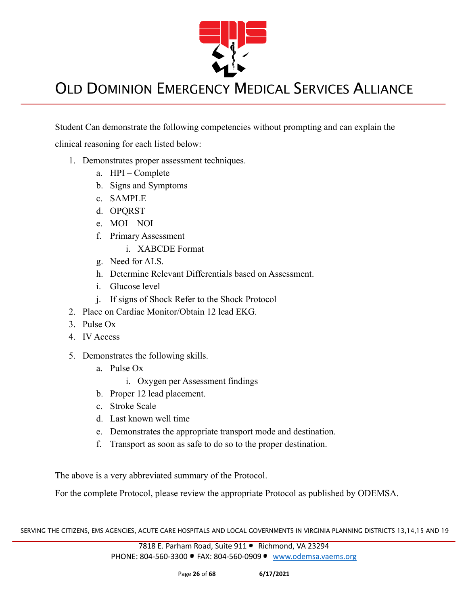

Student Can demonstrate the following competencies without prompting and can explain the

clinical reasoning for each listed below:

- 1. Demonstrates proper assessment techniques.
	- a. HPI Complete
	- b. Signs and Symptoms
	- c. SAMPLE
	- d. OPQRST
	- e. MOI NOI
	- f. Primary Assessment
		- i. XABCDE Format
	- g. Need for ALS.
	- h. Determine Relevant Differentials based on Assessment.
	- i. Glucose level
	- j. If signs of Shock Refer to the Shock Protocol
- 2. Place on Cardiac Monitor/Obtain 12 lead EKG.
- 3. Pulse Ox
- 4. IV Access
- 5. Demonstrates the following skills.
	- a. Pulse Ox
		- i. Oxygen per Assessment findings
	- b. Proper 12 lead placement.
	- c. Stroke Scale
	- d. Last known well time
	- e. Demonstrates the appropriate transport mode and destination.
	- f. Transport as soon as safe to do so to the proper destination.

The above is a very abbreviated summary of the Protocol.

For the complete Protocol, please review the appropriate Protocol as published by ODEMSA.

SERVING THE CITIZENS, EMS AGENCIES, ACUTE CARE HOSPITALS AND LOCAL GOVERNMENTS IN VIRGINIA PLANNING DISTRICTS 13,14,15 AND 19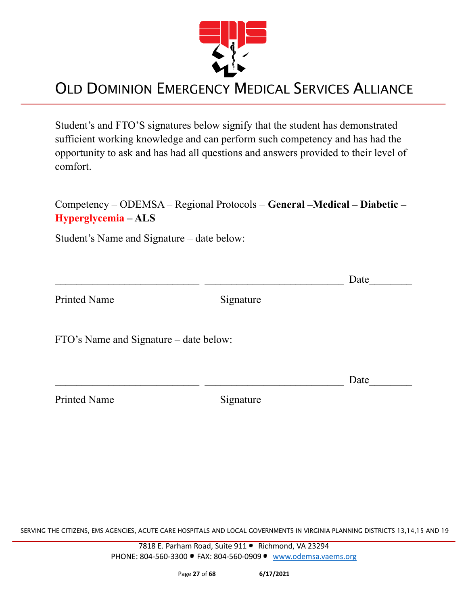

Student's and FTO'S signatures below signify that the student has demonstrated sufficient working knowledge and can perform such competency and has had the opportunity to ask and has had all questions and answers provided to their level of comfort.

Competency – ODEMSA – Regional Protocols – **General –Medical – Diabetic – Hyperglycemia – ALS**

Student's Name and Signature – date below:

|                                        |           | Date |
|----------------------------------------|-----------|------|
| <b>Printed Name</b>                    | Signature |      |
| FTO's Name and Signature – date below: |           |      |
|                                        |           | Date |
| <b>Printed Name</b>                    | Signature |      |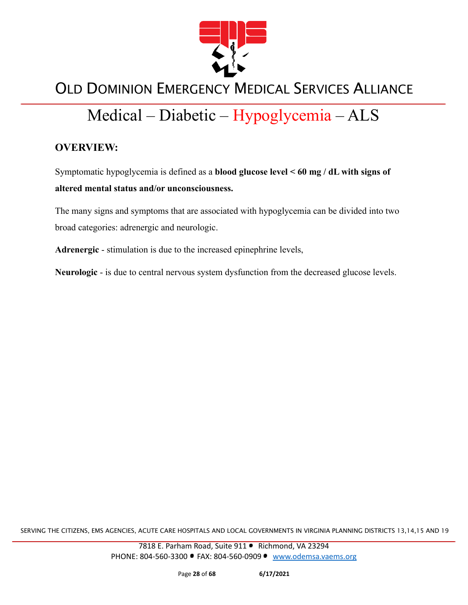

# Medical – Diabetic – Hypoglycemia – ALS

#### **OVERVIEW:**

Symptomatic hypoglycemia is defined as a **blood glucose level < 60 mg / dL with signs of altered mental status and/or unconsciousness.**

The many signs and symptoms that are associated with hypoglycemia can be divided into two broad categories: adrenergic and neurologic.

**Adrenergic** - stimulation is due to the increased epinephrine levels,

**Neurologic** - is due to central nervous system dysfunction from the decreased glucose levels.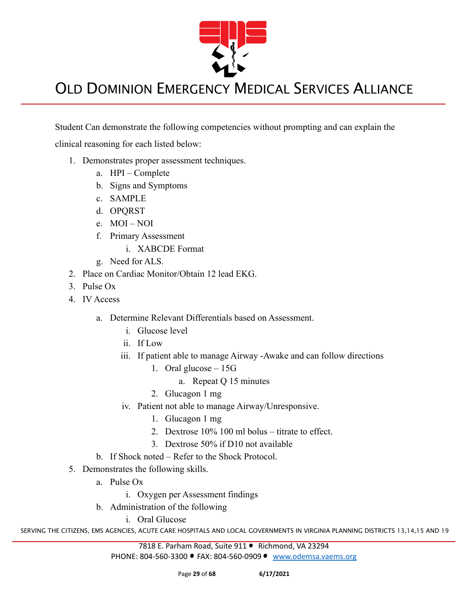

Student Can demonstrate the following competencies without prompting and can explain the

clinical reasoning for each listed below:

- 1. Demonstrates proper assessment techniques.
	- a. HPI Complete
	- b. Signs and Symptoms
	- c. SAMPLE
	- d. OPQRST
	- e. MOI NOI
	- f. Primary Assessment
		- i. XABCDE Format
	- g. Need for ALS.
- 2. Place on Cardiac Monitor/Obtain 12 lead EKG.
- 3. Pulse Ox
- 4. IV Access
	- a. Determine Relevant Differentials based on Assessment.
		- i. Glucose level
		- ii. If Low
		- iii. If patient able to manage Airway -Awake and can follow directions
			- 1. Oral glucose 15G
				- a. Repeat Q 15 minutes
			- 2. Glucagon 1 mg
		- iv. Patient not able to manage Airway/Unresponsive.
			- 1. Glucagon 1 mg
			- 2. Dextrose 10% 100 ml bolus titrate to effect.
			- 3. Dextrose 50% if D10 not available
	- b. If Shock noted Refer to the Shock Protocol.
- 5. Demonstrates the following skills.
	- a. Pulse Ox
		- i. Oxygen per Assessment findings
	- b. Administration of the following
		- i. Oral Glucose

SERVING THE CITIZENS, EMS AGENCIES, ACUTE CARE HOSPITALS AND LOCAL GOVERNMENTS IN VIRGINIA PLANNING DISTRICTS 13,14,15 AND 19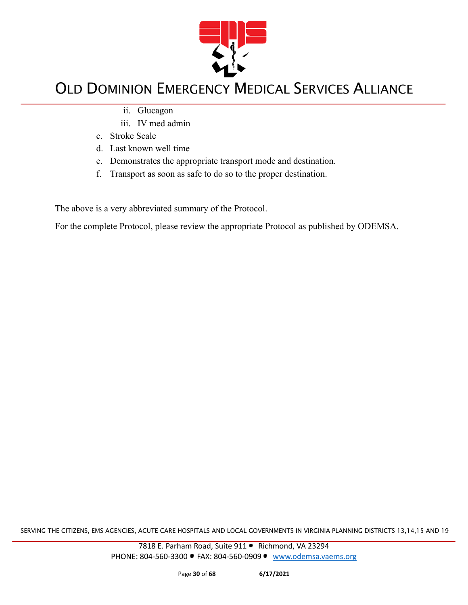

- ii. Glucagon
- iii. IV med admin
- c. Stroke Scale
- d. Last known well time
- e. Demonstrates the appropriate transport mode and destination.
- f. Transport as soon as safe to do so to the proper destination.

The above is a very abbreviated summary of the Protocol.

For the complete Protocol, please review the appropriate Protocol as published by ODEMSA.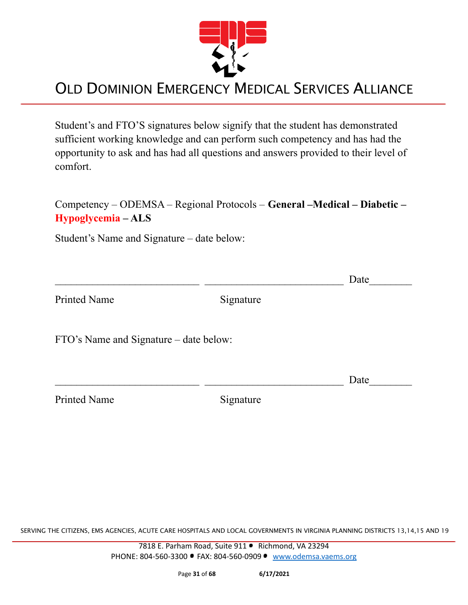

Student's and FTO'S signatures below signify that the student has demonstrated sufficient working knowledge and can perform such competency and has had the opportunity to ask and has had all questions and answers provided to their level of comfort.

Competency – ODEMSA – Regional Protocols – **General –Medical – Diabetic – Hypoglycemia – ALS**

Student's Name and Signature – date below:

|                                        |           | Date |
|----------------------------------------|-----------|------|
| <b>Printed Name</b>                    | Signature |      |
| FTO's Name and Signature – date below: |           |      |
|                                        |           | Date |
| <b>Printed Name</b>                    | Signature |      |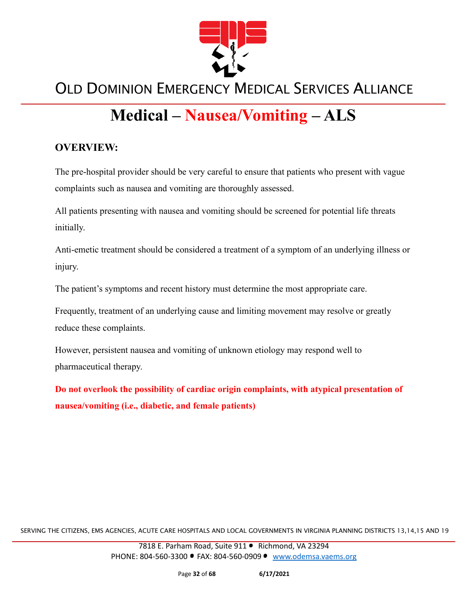

# **Medical – Nausea/Vomiting – ALS**

#### **OVERVIEW:**

The pre-hospital provider should be very careful to ensure that patients who present with vague complaints such as nausea and vomiting are thoroughly assessed.

All patients presenting with nausea and vomiting should be screened for potential life threats initially.

Anti-emetic treatment should be considered a treatment of a symptom of an underlying illness or injury.

The patient's symptoms and recent history must determine the most appropriate care.

Frequently, treatment of an underlying cause and limiting movement may resolve or greatly reduce these complaints.

However, persistent nausea and vomiting of unknown etiology may respond well to pharmaceutical therapy.

**Do not overlook the possibility of cardiac origin complaints, with atypical presentation of nausea/vomiting (i.e., diabetic, and female patients)**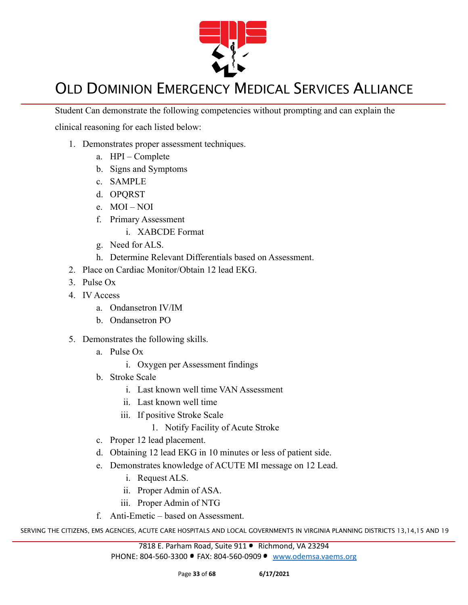

Student Can demonstrate the following competencies without prompting and can explain the

clinical reasoning for each listed below:

- 1. Demonstrates proper assessment techniques.
	- a. HPI Complete
	- b. Signs and Symptoms
	- c. SAMPLE
	- d. OPQRST
	- e. MOI NOI
	- f. Primary Assessment
		- i. XABCDE Format
	- g. Need for ALS.
	- h. Determine Relevant Differentials based on Assessment.
- 2. Place on Cardiac Monitor/Obtain 12 lead EKG.
- 3. Pulse Ox
- 4. IV Access
	- a. Ondansetron IV/IM
	- b. Ondansetron PO
- 5. Demonstrates the following skills.
	- a. Pulse Ox
		- i. Oxygen per Assessment findings
	- b. Stroke Scale
		- i. Last known well time VAN Assessment
		- ii. Last known well time
		- iii. If positive Stroke Scale
			- 1. Notify Facility of Acute Stroke
	- c. Proper 12 lead placement.
	- d. Obtaining 12 lead EKG in 10 minutes or less of patient side.
	- e. Demonstrates knowledge of ACUTE MI message on 12 Lead.
		- i. Request ALS.
		- ii. Proper Admin of ASA.
		- iii. Proper Admin of NTG
	- f. Anti-Emetic based on Assessment.

SERVING THE CITIZENS, EMS AGENCIES, ACUTE CARE HOSPITALS AND LOCAL GOVERNMENTS IN VIRGINIA PLANNING DISTRICTS 13,14,15 AND 19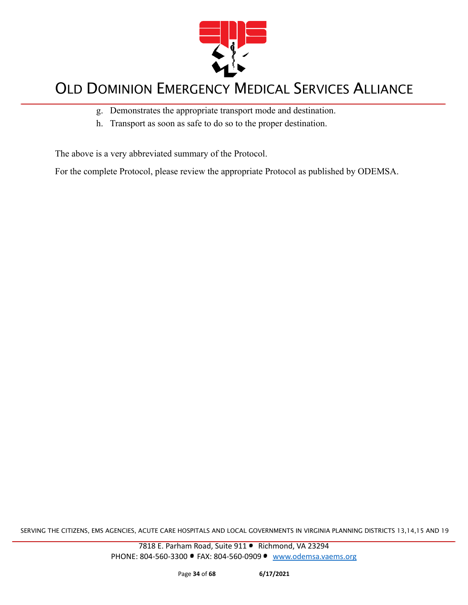

- g. Demonstrates the appropriate transport mode and destination.
- h. Transport as soon as safe to do so to the proper destination.

The above is a very abbreviated summary of the Protocol.

For the complete Protocol, please review the appropriate Protocol as published by ODEMSA.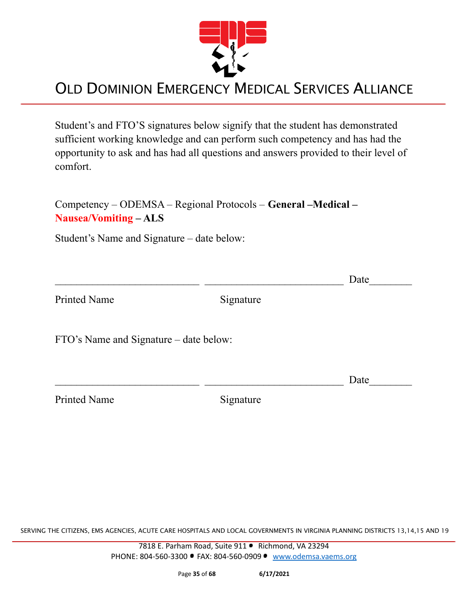

Student's and FTO'S signatures below signify that the student has demonstrated sufficient working knowledge and can perform such competency and has had the opportunity to ask and has had all questions and answers provided to their level of comfort.

Competency – ODEMSA – Regional Protocols – **General –Medical – Nausea/Vomiting – ALS**

Student's Name and Signature – date below:

|                                        |           | Date |
|----------------------------------------|-----------|------|
| <b>Printed Name</b>                    | Signature |      |
| FTO's Name and Signature – date below: |           |      |
|                                        |           | Date |
| <b>Printed Name</b>                    | Signature |      |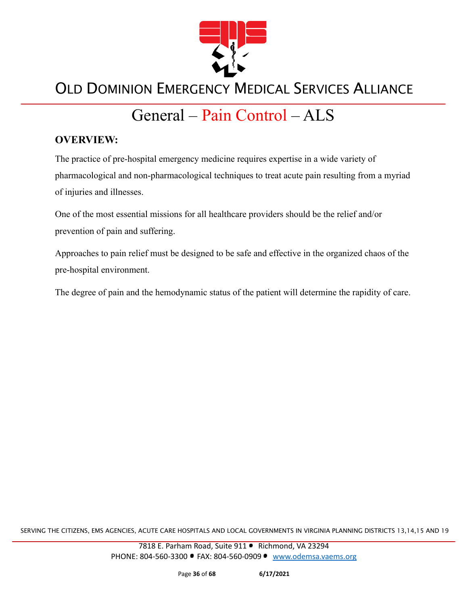

# General – Pain Control – ALS

#### **OVERVIEW:**

The practice of pre-hospital emergency medicine requires expertise in a wide variety of pharmacological and non-pharmacological techniques to treat acute pain resulting from a myriad of injuries and illnesses.

One of the most essential missions for all healthcare providers should be the relief and/or prevention of pain and suffering.

Approaches to pain relief must be designed to be safe and effective in the organized chaos of the pre-hospital environment.

The degree of pain and the hemodynamic status of the patient will determine the rapidity of care.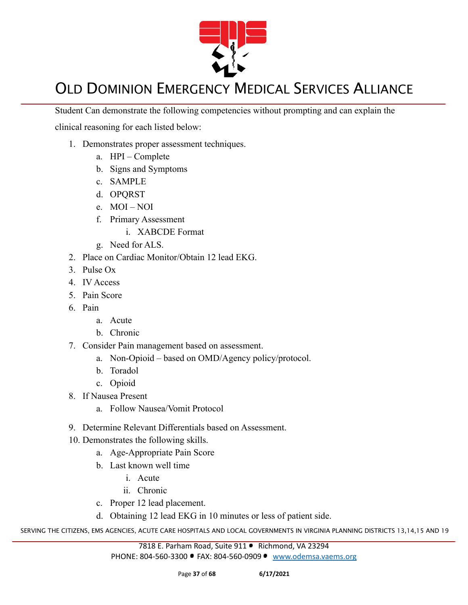

Student Can demonstrate the following competencies without prompting and can explain the

clinical reasoning for each listed below:

- 1. Demonstrates proper assessment techniques.
	- a. HPI Complete
	- b. Signs and Symptoms
	- c. SAMPLE
	- d. OPQRST
	- e. MOI NOI
	- f. Primary Assessment
		- i. XABCDE Format
	- g. Need for ALS.
- 2. Place on Cardiac Monitor/Obtain 12 lead EKG.
- 3. Pulse Ox
- 4. IV Access
- 5. Pain Score
- 6. Pain
	- a. Acute
	- b. Chronic
- 7. Consider Pain management based on assessment.
	- a. Non-Opioid based on OMD/Agency policy/protocol.
	- b. Toradol
	- c. Opioid
- 8. If Nausea Present
	- a. Follow Nausea/Vomit Protocol
- 9. Determine Relevant Differentials based on Assessment.
- 10. Demonstrates the following skills.
	- a. Age-Appropriate Pain Score
	- b. Last known well time
		- i. Acute
		- ii. Chronic
	- c. Proper 12 lead placement.
	- d. Obtaining 12 lead EKG in 10 minutes or less of patient side.

SERVING THE CITIZENS, EMS AGENCIES, ACUTE CARE HOSPITALS AND LOCAL GOVERNMENTS IN VIRGINIA PLANNING DISTRICTS 13,14,15 AND 19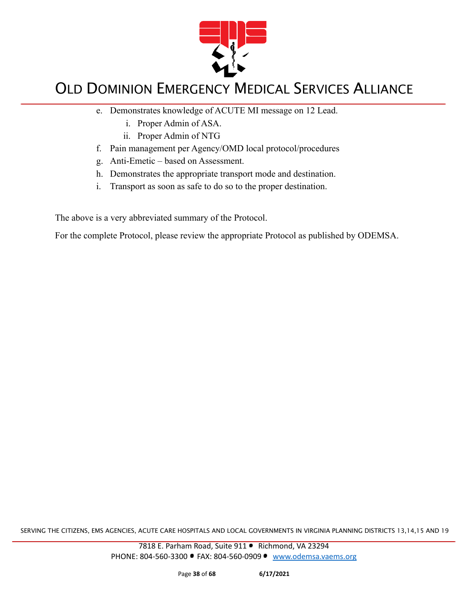

- e. Demonstrates knowledge of ACUTE MI message on 12 Lead.
	- i. Proper Admin of ASA.
	- ii. Proper Admin of NTG
- f. Pain management per Agency/OMD local protocol/procedures
- g. Anti-Emetic based on Assessment.
- h. Demonstrates the appropriate transport mode and destination.
- i. Transport as soon as safe to do so to the proper destination.

The above is a very abbreviated summary of the Protocol.

For the complete Protocol, please review the appropriate Protocol as published by ODEMSA.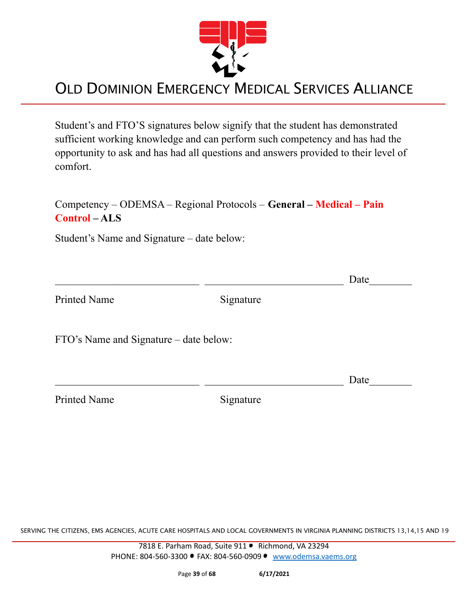

Student's and FTO'S signatures below signify that the student has demonstrated sufficient working knowledge and can perform such competency and has had the opportunity to ask and has had all questions and answers provided to their level of comfort.

#### Competency – ODEMSA – Regional Protocols – **General – Medical – Pain Control – ALS**

Student's Name and Signature – date below:

|                                        |           | Date |
|----------------------------------------|-----------|------|
| <b>Printed Name</b>                    | Signature |      |
| FTO's Name and Signature – date below: |           |      |
|                                        |           | Date |
| <b>Printed Name</b>                    | Signature |      |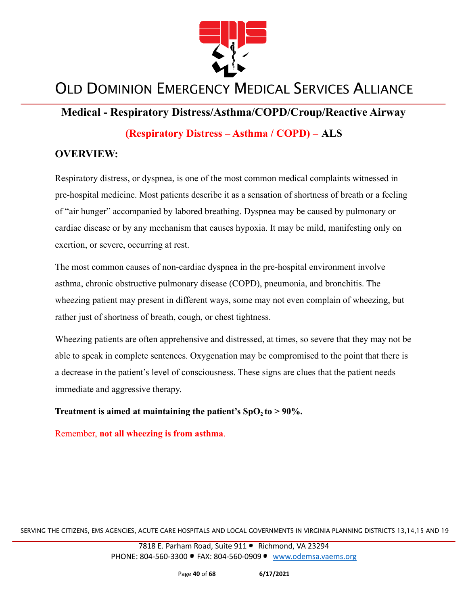

#### **Medical - Respiratory Distress/Asthma/COPD/Croup/Reactive Airway**

**(Respiratory Distress – Asthma / COPD) – ALS**

#### **OVERVIEW:**

Respiratory distress, or dyspnea, is one of the most common medical complaints witnessed in pre-hospital medicine. Most patients describe it as a sensation of shortness of breath or a feeling of "air hunger" accompanied by labored breathing. Dyspnea may be caused by pulmonary or cardiac disease or by any mechanism that causes hypoxia. It may be mild, manifesting only on exertion, or severe, occurring at rest.

The most common causes of non-cardiac dyspnea in the pre-hospital environment involve asthma, chronic obstructive pulmonary disease (COPD), pneumonia, and bronchitis. The wheezing patient may present in different ways, some may not even complain of wheezing, but rather just of shortness of breath, cough, or chest tightness.

Wheezing patients are often apprehensive and distressed, at times, so severe that they may not be able to speak in complete sentences. Oxygenation may be compromised to the point that there is a decrease in the patient's level of consciousness. These signs are clues that the patient needs immediate and aggressive therapy.

**Treatment is aimed at maintaining the patient's**  $SpO<sub>2</sub>$  **<b>to > 90%.** 

Remember, **not all wheezing is from asthma**.

SERVING THE CITIZENS, EMS AGENCIES, ACUTE CARE HOSPITALS AND LOCAL GOVERNMENTS IN VIRGINIA PLANNING DISTRICTS 13,14,15 AND 19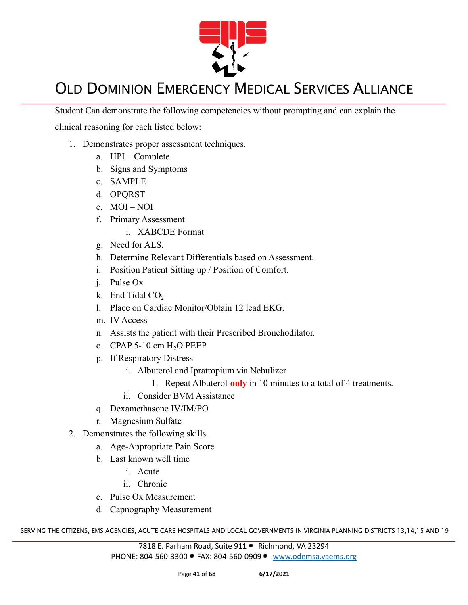

Student Can demonstrate the following competencies without prompting and can explain the

clinical reasoning for each listed below:

- 1. Demonstrates proper assessment techniques.
	- a. HPI Complete
	- b. Signs and Symptoms
	- c. SAMPLE
	- d. OPQRST
	- e. MOI NOI
	- f. Primary Assessment
		- i. XABCDE Format
	- g. Need for ALS.
	- h. Determine Relevant Differentials based on Assessment.
	- i. Position Patient Sitting up / Position of Comfort.
	- j. Pulse Ox
	- k. End Tidal  $CO<sub>2</sub>$
	- l. Place on Cardiac Monitor/Obtain 12 lead EKG.
	- m. IV Access
	- n. Assists the patient with their Prescribed Bronchodilator.
	- o. CPAP 5-10 cm  $H<sub>2</sub>O$  PEEP
	- p. If Respiratory Distress
		- i. Albuterol and Ipratropium via Nebulizer
			- 1. Repeat Albuterol **only** in 10 minutes to a total of 4 treatments.
		- ii. Consider BVM Assistance
	- q. Dexamethasone IV/IM/PO
	- r. Magnesium Sulfate
- 2. Demonstrates the following skills.
	- a. Age-Appropriate Pain Score
	- b. Last known well time
		- i. Acute
		- ii. Chronic
	- c. Pulse Ox Measurement
	- d. Capnography Measurement

SERVING THE CITIZENS, EMS AGENCIES, ACUTE CARE HOSPITALS AND LOCAL GOVERNMENTS IN VIRGINIA PLANNING DISTRICTS 13,14,15 AND 19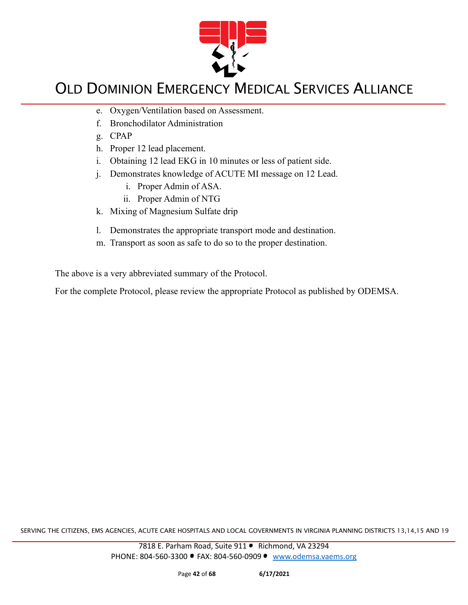

- e. Oxygen/Ventilation based on Assessment.
- f. Bronchodilator Administration
- g. CPAP
- h. Proper 12 lead placement.
- i. Obtaining 12 lead EKG in 10 minutes or less of patient side.
- j. Demonstrates knowledge of ACUTE MI message on 12 Lead.
	- i. Proper Admin of ASA.
	- ii. Proper Admin of NTG
- k. Mixing of Magnesium Sulfate drip
- l. Demonstrates the appropriate transport mode and destination.
- m. Transport as soon as safe to do so to the proper destination.

The above is a very abbreviated summary of the Protocol.

For the complete Protocol, please review the appropriate Protocol as published by ODEMSA.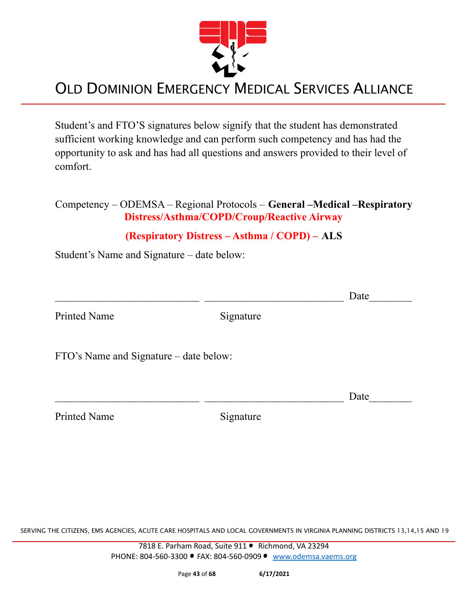

Student's and FTO'S signatures below signify that the student has demonstrated sufficient working knowledge and can perform such competency and has had the opportunity to ask and has had all questions and answers provided to their level of comfort.

#### Competency – ODEMSA – Regional Protocols – **General –Medical –Respiratory Distress/Asthma/COPD/Croup/Reactive Airway**

#### **(Respiratory Distress – Asthma / COPD) – ALS**

Student's Name and Signature – date below:

|                                        |           | Date |
|----------------------------------------|-----------|------|
| <b>Printed Name</b>                    | Signature |      |
| FTO's Name and Signature – date below: |           |      |
|                                        |           | Date |
| <b>Printed Name</b>                    | Signature |      |

SERVING THE CITIZENS, EMS AGENCIES, ACUTE CARE HOSPITALS AND LOCAL GOVERNMENTS IN VIRGINIA PLANNING DISTRICTS 13,14,15 AND 19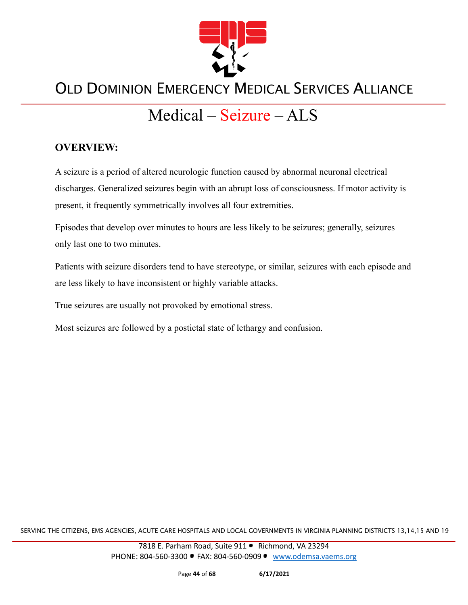

# Medical – Seizure – ALS

#### **OVERVIEW:**

A seizure is a period of altered neurologic function caused by abnormal neuronal electrical discharges. Generalized seizures begin with an abrupt loss of consciousness. If motor activity is present, it frequently symmetrically involves all four extremities.

Episodes that develop over minutes to hours are less likely to be seizures; generally, seizures only last one to two minutes.

Patients with seizure disorders tend to have stereotype, or similar, seizures with each episode and are less likely to have inconsistent or highly variable attacks.

True seizures are usually not provoked by emotional stress.

Most seizures are followed by a postictal state of lethargy and confusion.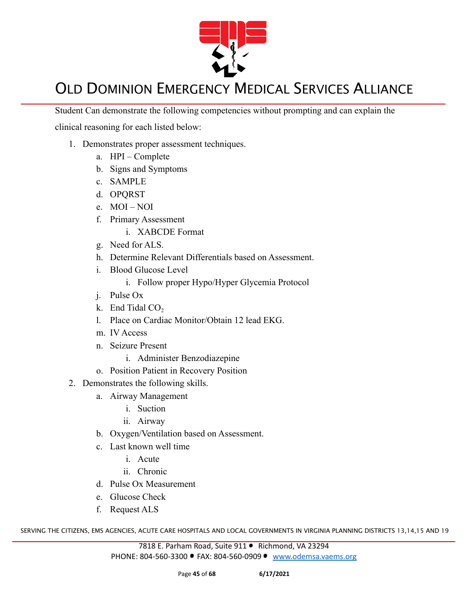

Student Can demonstrate the following competencies without prompting and can explain the

clinical reasoning for each listed below:

- 1. Demonstrates proper assessment techniques.
	- a. HPI Complete
	- b. Signs and Symptoms
	- c. SAMPLE
	- d. OPQRST
	- e. MOI NOI
	- f. Primary Assessment
		- i. XABCDE Format
	- g. Need for ALS.
	- h. Determine Relevant Differentials based on Assessment.
	- i. Blood Glucose Level
		- i. Follow proper Hypo/Hyper Glycemia Protocol
	- j. Pulse Ox
	- k. End Tidal  $CO<sub>2</sub>$
	- l. Place on Cardiac Monitor/Obtain 12 lead EKG.
	- m. IV Access
	- n. Seizure Present
		- i. Administer Benzodiazepine
	- o. Position Patient in Recovery Position
- 2. Demonstrates the following skills.
	- a. Airway Management
		- i. Suction
		- ii. Airway
	- b. Oxygen/Ventilation based on Assessment.
	- c. Last known well time
		- i. Acute
		- ii. Chronic
	- d. Pulse Ox Measurement
	- e. Glucose Check
	- f. Request ALS

SERVING THE CITIZENS, EMS AGENCIES, ACUTE CARE HOSPITALS AND LOCAL GOVERNMENTS IN VIRGINIA PLANNING DISTRICTS 13,14,15 AND 19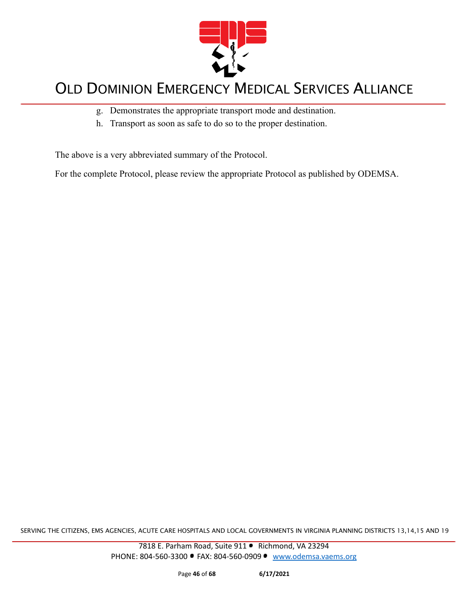

- g. Demonstrates the appropriate transport mode and destination.
- h. Transport as soon as safe to do so to the proper destination.

The above is a very abbreviated summary of the Protocol.

For the complete Protocol, please review the appropriate Protocol as published by ODEMSA.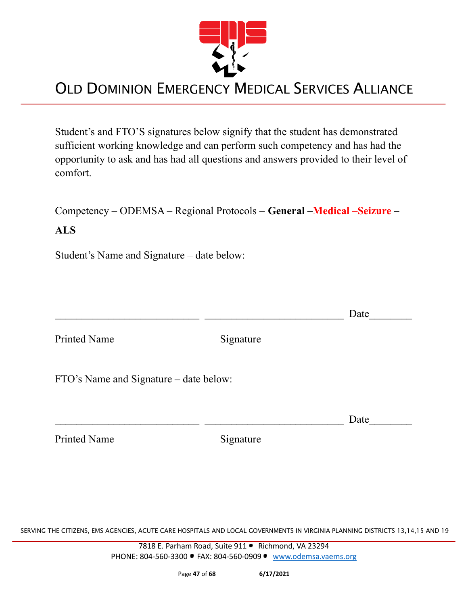

Student's and FTO'S signatures below signify that the student has demonstrated sufficient working knowledge and can perform such competency and has had the opportunity to ask and has had all questions and answers provided to their level of comfort.

Competency – ODEMSA – Regional Protocols – **General –Medical –Seizure –**

#### **ALS**

Student's Name and Signature – date below:

 $\Box$  Date Printed Name Signature FTO's Name and Signature – date below:

Printed Name Signature

 $\Box$  Date

SERVING THE CITIZENS, EMS AGENCIES, ACUTE CARE HOSPITALS AND LOCAL GOVERNMENTS IN VIRGINIA PLANNING DISTRICTS 13,14,15 AND 19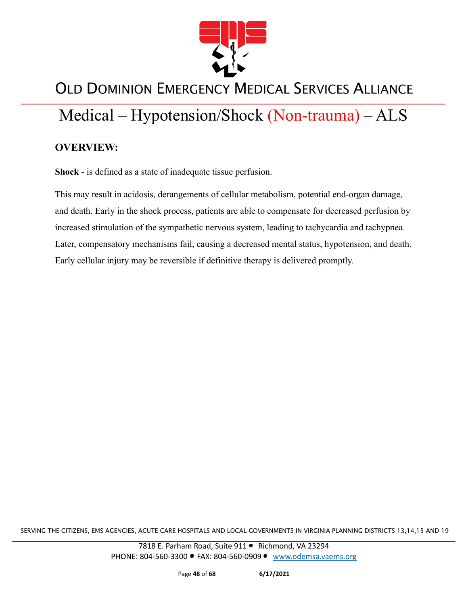

# Medical – Hypotension/Shock (Non-trauma) – ALS

#### **OVERVIEW:**

**Shock** - is defined as a state of inadequate tissue perfusion.

This may result in acidosis, derangements of cellular metabolism, potential end-organ damage, and death. Early in the shock process, patients are able to compensate for decreased perfusion by increased stimulation of the sympathetic nervous system, leading to tachycardia and tachypnea. Later, compensatory mechanisms fail, causing a decreased mental status, hypotension, and death. Early cellular injury may be reversible if definitive therapy is delivered promptly.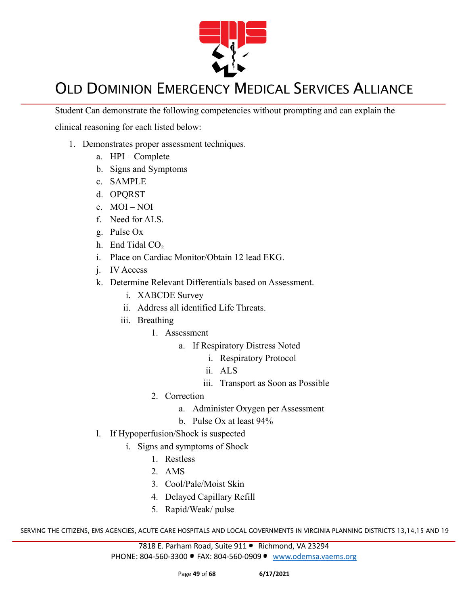

Student Can demonstrate the following competencies without prompting and can explain the

clinical reasoning for each listed below:

- 1. Demonstrates proper assessment techniques.
	- a. HPI Complete
	- b. Signs and Symptoms
	- c. SAMPLE
	- d. OPQRST
	- e. MOI NOI
	- f. Need for ALS.
	- g. Pulse Ox
	- h. End Tidal  $CO<sub>2</sub>$
	- i. Place on Cardiac Monitor/Obtain 12 lead EKG.
	- j. IV Access
	- k. Determine Relevant Differentials based on Assessment.
		- i. XABCDE Survey
		- ii. Address all identified Life Threats.
		- iii. Breathing
			- 1. Assessment
				- a. If Respiratory Distress Noted
					- i. Respiratory Protocol
					- ii. ALS
					- iii. Transport as Soon as Possible
			- 2. Correction
				- a. Administer Oxygen per Assessment
				- b. Pulse Ox at least 94%
	- l. If Hypoperfusion/Shock is suspected
		- i. Signs and symptoms of Shock
			- 1. Restless
			- 2. AMS
			- 3. Cool/Pale/Moist Skin
			- 4. Delayed Capillary Refill
			- 5. Rapid/Weak/ pulse

SERVING THE CITIZENS, EMS AGENCIES, ACUTE CARE HOSPITALS AND LOCAL GOVERNMENTS IN VIRGINIA PLANNING DISTRICTS 13,14,15 AND 19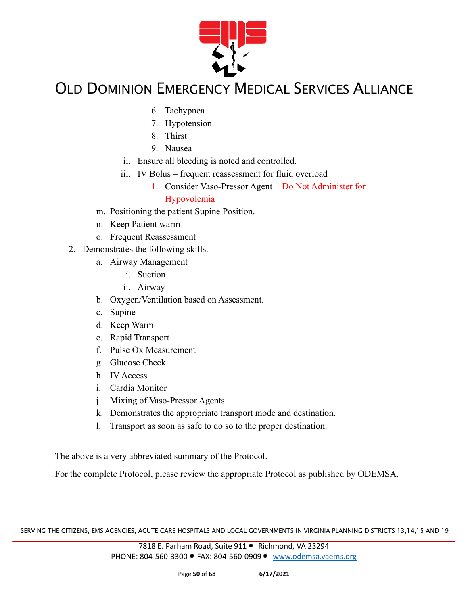

- 6. Tachypnea
- 7. Hypotension
- 8. Thirst
- 9. Nausea
- ii. Ensure all bleeding is noted and controlled.
- iii. IV Bolus frequent reassessment for fluid overload
	- 1. Consider Vaso-Pressor Agent Do Not Administer for Hypovolemia
- m. Positioning the patient Supine Position.
- n. Keep Patient warm
- o. Frequent Reassessment
- 2. Demonstrates the following skills.
	- a. Airway Management
		- i. Suction
		- ii. Airway
	- b. Oxygen/Ventilation based on Assessment.
	- c. Supine
	- d. Keep Warm
	- e. Rapid Transport
	- f. Pulse Ox Measurement
	- g. Glucose Check
	- h. IV Access
	- i. Cardia Monitor
	- j. Mixing of Vaso-Pressor Agents
	- k. Demonstrates the appropriate transport mode and destination.
	- l. Transport as soon as safe to do so to the proper destination.

The above is a very abbreviated summary of the Protocol.

For the complete Protocol, please review the appropriate Protocol as published by ODEMSA.

SERVING THE CITIZENS, EMS AGENCIES, ACUTE CARE HOSPITALS AND LOCAL GOVERNMENTS IN VIRGINIA PLANNING DISTRICTS 13,14,15 AND 19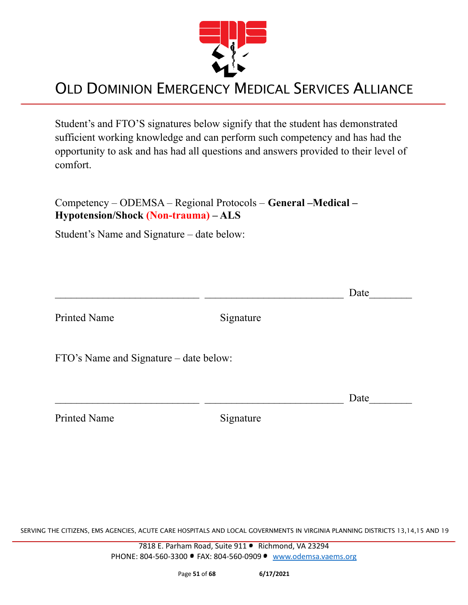

Student's and FTO'S signatures below signify that the student has demonstrated sufficient working knowledge and can perform such competency and has had the opportunity to ask and has had all questions and answers provided to their level of comfort.

Competency – ODEMSA – Regional Protocols – **General –Medical – Hypotension/Shock (Non-trauma) – ALS**

Student's Name and Signature – date below:

 $\Box$  Date Printed Name Signature FTO's Name and Signature – date below:  $\Box$  Date

| <b>Printed Name</b> |
|---------------------|
|---------------------|

Signature

SERVING THE CITIZENS, EMS AGENCIES, ACUTE CARE HOSPITALS AND LOCAL GOVERNMENTS IN VIRGINIA PLANNING DISTRICTS 13,14,15 AND 19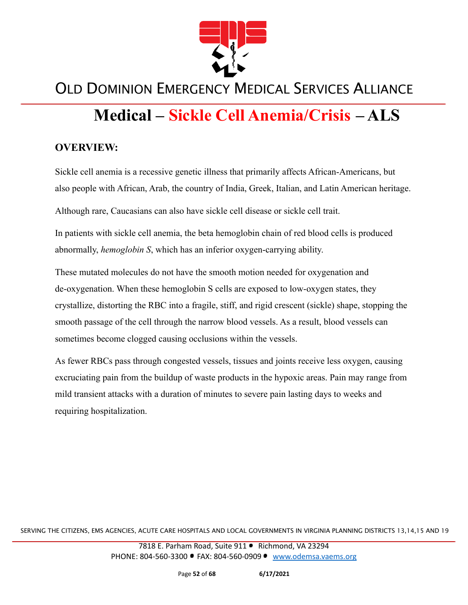

# **Medical – Sickle Cell Anemia/Crisis – ALS**

#### **OVERVIEW:**

Sickle cell anemia is a recessive genetic illness that primarily affects African-Americans, but also people with African, Arab, the country of India, Greek, Italian, and Latin American heritage.

Although rare, Caucasians can also have sickle cell disease or sickle cell trait.

In patients with sickle cell anemia, the beta hemoglobin chain of red blood cells is produced abnormally, *hemoglobin S*, which has an inferior oxygen-carrying ability.

These mutated molecules do not have the smooth motion needed for oxygenation and de-oxygenation. When these hemoglobin S cells are exposed to low-oxygen states, they crystallize, distorting the RBC into a fragile, stiff, and rigid crescent (sickle) shape, stopping the smooth passage of the cell through the narrow blood vessels. As a result, blood vessels can sometimes become clogged causing occlusions within the vessels.

As fewer RBCs pass through congested vessels, tissues and joints receive less oxygen, causing excruciating pain from the buildup of waste products in the hypoxic areas. Pain may range from mild transient attacks with a duration of minutes to severe pain lasting days to weeks and requiring hospitalization.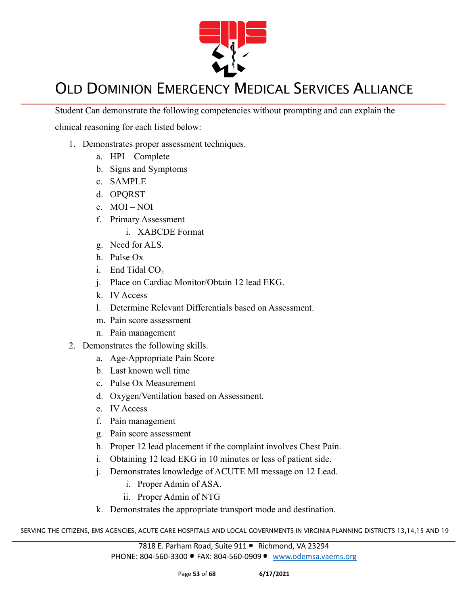

Student Can demonstrate the following competencies without prompting and can explain the

clinical reasoning for each listed below:

- 1. Demonstrates proper assessment techniques.
	- a. HPI Complete
	- b. Signs and Symptoms
	- c. SAMPLE
	- d. OPQRST
	- e. MOI NOI
	- f. Primary Assessment
		- i. XABCDE Format
	- g. Need for ALS.
	- h. Pulse Ox
	- i. End Tidal  $CO<sub>2</sub>$
	- j. Place on Cardiac Monitor/Obtain 12 lead EKG.
	- k. IV Access
	- l. Determine Relevant Differentials based on Assessment.
	- m. Pain score assessment
	- n. Pain management
- 2. Demonstrates the following skills.
	- a. Age-Appropriate Pain Score
	- b. Last known well time
	- c. Pulse Ox Measurement
	- d. Oxygen/Ventilation based on Assessment.
	- e. IV Access
	- f. Pain management
	- g. Pain score assessment
	- h. Proper 12 lead placement if the complaint involves Chest Pain.
	- i. Obtaining 12 lead EKG in 10 minutes or less of patient side.
	- j. Demonstrates knowledge of ACUTE MI message on 12 Lead.
		- i. Proper Admin of ASA.
		- ii. Proper Admin of NTG
	- k. Demonstrates the appropriate transport mode and destination.

SERVING THE CITIZENS, EMS AGENCIES, ACUTE CARE HOSPITALS AND LOCAL GOVERNMENTS IN VIRGINIA PLANNING DISTRICTS 13,14,15 AND 19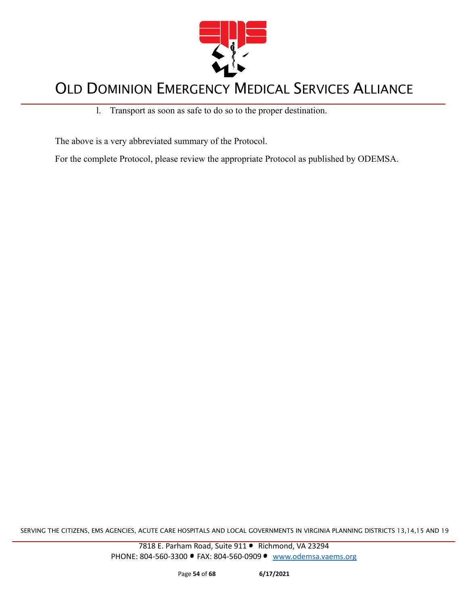

l. Transport as soon as safe to do so to the proper destination.

The above is a very abbreviated summary of the Protocol.

For the complete Protocol, please review the appropriate Protocol as published by ODEMSA.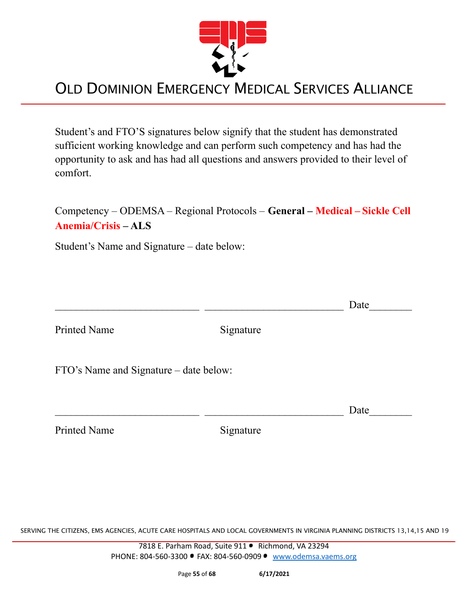

Student's and FTO'S signatures below signify that the student has demonstrated sufficient working knowledge and can perform such competency and has had the opportunity to ask and has had all questions and answers provided to their level of comfort.

| Competency – ODEMSA – Regional Protocols – General – Medical – Sickle Cell |
|----------------------------------------------------------------------------|
| <b>Anemia/Crisis – ALS</b>                                                 |

Student's Name and Signature – date below:

|                                        |           | Date |
|----------------------------------------|-----------|------|
| <b>Printed Name</b>                    | Signature |      |
| FTO's Name and Signature – date below: |           |      |
|                                        |           | Date |
| <b>Printed Name</b>                    | Signature |      |

SERVING THE CITIZENS, EMS AGENCIES, ACUTE CARE HOSPITALS AND LOCAL GOVERNMENTS IN VIRGINIA PLANNING DISTRICTS 13,14,15 AND 19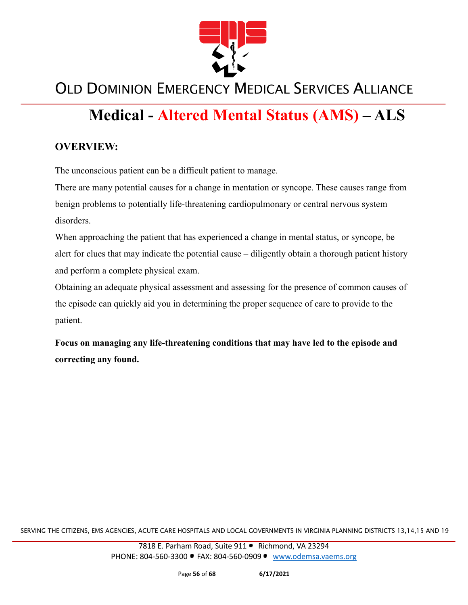

# **Medical - Altered Mental Status (AMS) – ALS**

#### **OVERVIEW:**

The unconscious patient can be a difficult patient to manage.

There are many potential causes for a change in mentation or syncope. These causes range from benign problems to potentially life-threatening cardiopulmonary or central nervous system disorders.

When approaching the patient that has experienced a change in mental status, or syncope, be alert for clues that may indicate the potential cause – diligently obtain a thorough patient history and perform a complete physical exam.

Obtaining an adequate physical assessment and assessing for the presence of common causes of the episode can quickly aid you in determining the proper sequence of care to provide to the patient.

**Focus on managing any life-threatening conditions that may have led to the episode and correcting any found.**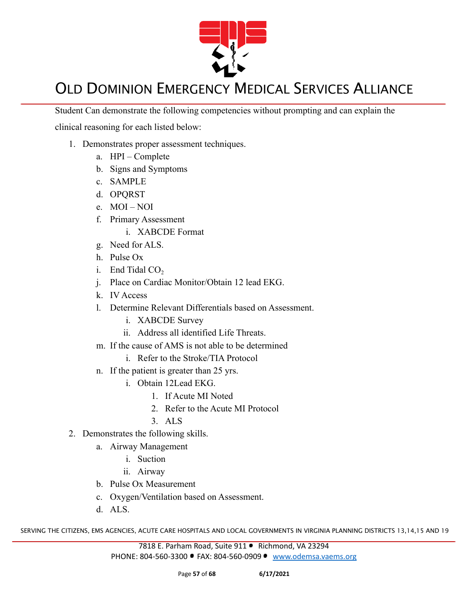

Student Can demonstrate the following competencies without prompting and can explain the

clinical reasoning for each listed below:

- 1. Demonstrates proper assessment techniques.
	- a. HPI Complete
	- b. Signs and Symptoms
	- c. SAMPLE
	- d. OPQRST
	- e. MOI NOI
	- f. Primary Assessment
		- i. XABCDE Format
	- g. Need for ALS.
	- h. Pulse Ox
	- i. End Tidal  $CO<sub>2</sub>$
	- j. Place on Cardiac Monitor/Obtain 12 lead EKG.
	- k. IV Access
	- l. Determine Relevant Differentials based on Assessment.
		- i. XABCDE Survey
		- ii. Address all identified Life Threats.
	- m. If the cause of AMS is not able to be determined
		- i. Refer to the Stroke/TIA Protocol
	- n. If the patient is greater than 25 yrs.
		- i. Obtain 12Lead EKG.
			- 1. If Acute MI Noted
			- 2. Refer to the Acute MI Protocol
			- 3. ALS
- 2. Demonstrates the following skills.
	- a. Airway Management
		- i. Suction
		- ii. Airway
	- b. Pulse Ox Measurement
	- c. Oxygen/Ventilation based on Assessment.
	- d. ALS.

SERVING THE CITIZENS, EMS AGENCIES, ACUTE CARE HOSPITALS AND LOCAL GOVERNMENTS IN VIRGINIA PLANNING DISTRICTS 13,14,15 AND 19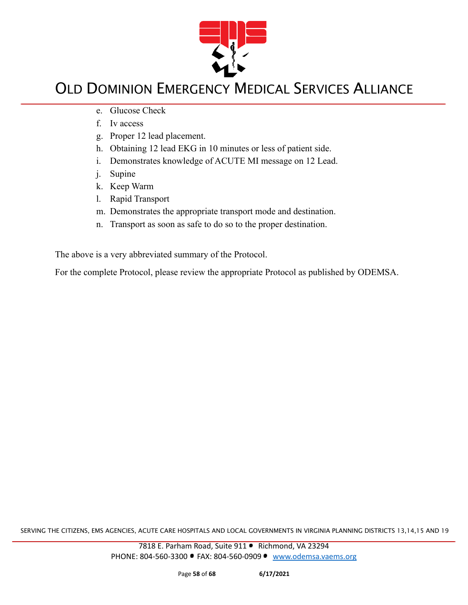

- e. Glucose Check
- f. Iv access
- g. Proper 12 lead placement.
- h. Obtaining 12 lead EKG in 10 minutes or less of patient side.
- i. Demonstrates knowledge of ACUTE MI message on 12 Lead.
- j. Supine
- k. Keep Warm
- l. Rapid Transport
- m. Demonstrates the appropriate transport mode and destination.
- n. Transport as soon as safe to do so to the proper destination.

The above is a very abbreviated summary of the Protocol.

For the complete Protocol, please review the appropriate Protocol as published by ODEMSA.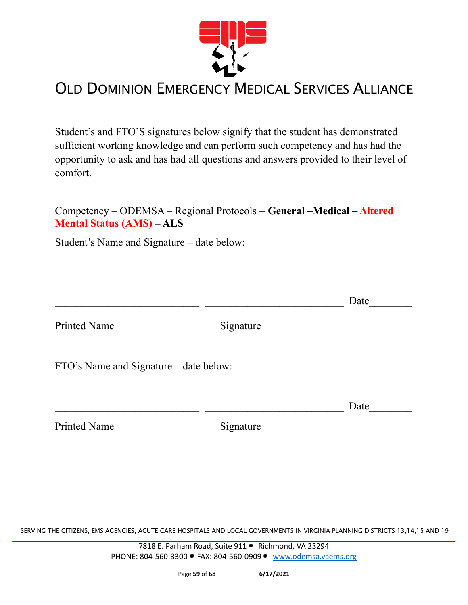

Student's and FTO'S signatures below signify that the student has demonstrated sufficient working knowledge and can perform such competency and has had the opportunity to ask and has had all questions and answers provided to their level of comfort.

#### Competency – ODEMSA – Regional Protocols – **General –Medical – Altered Mental Status (AMS) – ALS**

Student's Name and Signature – date below:

|                                        |           | Date |
|----------------------------------------|-----------|------|
| <b>Printed Name</b>                    | Signature |      |
| FTO's Name and Signature – date below: |           |      |
|                                        |           | Date |
| <b>Printed Name</b>                    | Signature |      |

SERVING THE CITIZENS, EMS AGENCIES, ACUTE CARE HOSPITALS AND LOCAL GOVERNMENTS IN VIRGINIA PLANNING DISTRICTS 13,14,15 AND 19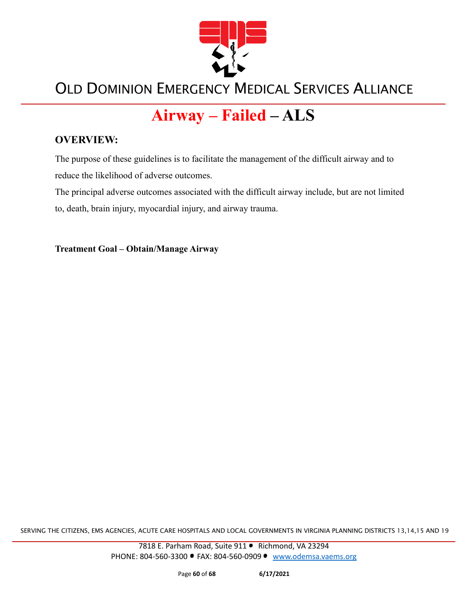

# **Airway – Failed – ALS**

#### **OVERVIEW:**

The purpose of these guidelines is to facilitate the management of the difficult airway and to reduce the likelihood of adverse outcomes.

The principal adverse outcomes associated with the difficult airway include, but are not limited to, death, brain injury, myocardial injury, and airway trauma.

**Treatment Goal – Obtain/Manage Airway**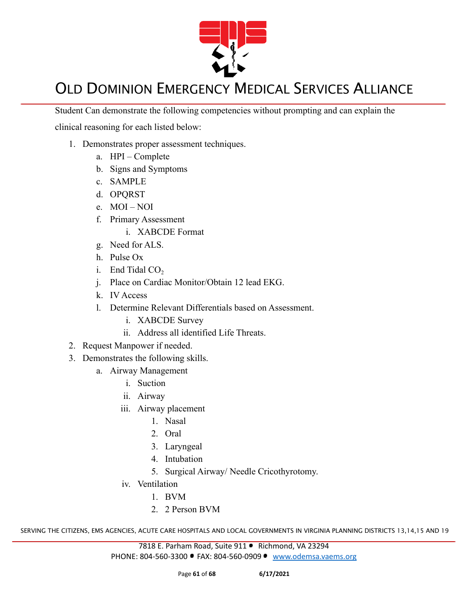

Student Can demonstrate the following competencies without prompting and can explain the

clinical reasoning for each listed below:

- 1. Demonstrates proper assessment techniques.
	- a. HPI Complete
	- b. Signs and Symptoms
	- c. SAMPLE
	- d. OPQRST
	- e. MOI NOI
	- f. Primary Assessment
		- i. XABCDE Format
	- g. Need for ALS.
	- h. Pulse Ox
	- i. End Tidal  $CO<sub>2</sub>$
	- j. Place on Cardiac Monitor/Obtain 12 lead EKG.
	- k. IV Access
	- l. Determine Relevant Differentials based on Assessment.
		- i. XABCDE Survey
		- ii. Address all identified Life Threats.
- 2. Request Manpower if needed.
- 3. Demonstrates the following skills.
	- a. Airway Management
		- i. Suction
		- ii. Airway
		- iii. Airway placement
			- 1. Nasal
			- 2. Oral
			- 3. Laryngeal
			- 4. Intubation
			- 5. Surgical Airway/ Needle Cricothyrotomy.
		- iv. Ventilation
			- 1. BVM
			- 2. 2 Person BVM

SERVING THE CITIZENS, EMS AGENCIES, ACUTE CARE HOSPITALS AND LOCAL GOVERNMENTS IN VIRGINIA PLANNING DISTRICTS 13,14,15 AND 19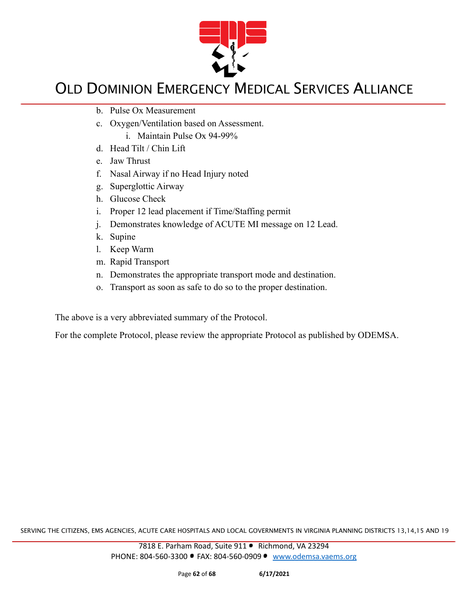

- b. Pulse Ox Measurement
- c. Oxygen/Ventilation based on Assessment.
	- i. Maintain Pulse Ox 94-99%
- d. Head Tilt / Chin Lift
- e. Jaw Thrust
- f. Nasal Airway if no Head Injury noted
- g. Superglottic Airway
- h. Glucose Check
- i. Proper 12 lead placement if Time/Staffing permit
- j. Demonstrates knowledge of ACUTE MI message on 12 Lead.
- k. Supine
- l. Keep Warm
- m. Rapid Transport
- n. Demonstrates the appropriate transport mode and destination.
- o. Transport as soon as safe to do so to the proper destination.

The above is a very abbreviated summary of the Protocol.

For the complete Protocol, please review the appropriate Protocol as published by ODEMSA.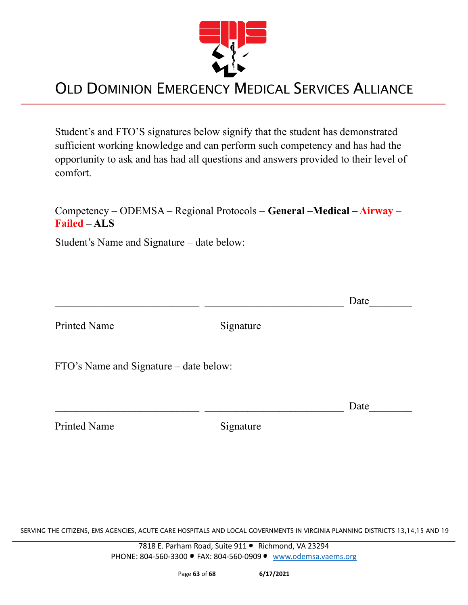

Student's and FTO'S signatures below signify that the student has demonstrated sufficient working knowledge and can perform such competency and has had the opportunity to ask and has had all questions and answers provided to their level of comfort.

#### Competency – ODEMSA – Regional Protocols – **General –Medical – Airway – Failed – ALS**

Student's Name and Signature – date below:

|                                        |           | Date |
|----------------------------------------|-----------|------|
| <b>Printed Name</b>                    | Signature |      |
| FTO's Name and Signature – date below: |           |      |
|                                        |           | Date |
| <b>Printed Name</b>                    | Signature |      |

SERVING THE CITIZENS, EMS AGENCIES, ACUTE CARE HOSPITALS AND LOCAL GOVERNMENTS IN VIRGINIA PLANNING DISTRICTS 13,14,15 AND 19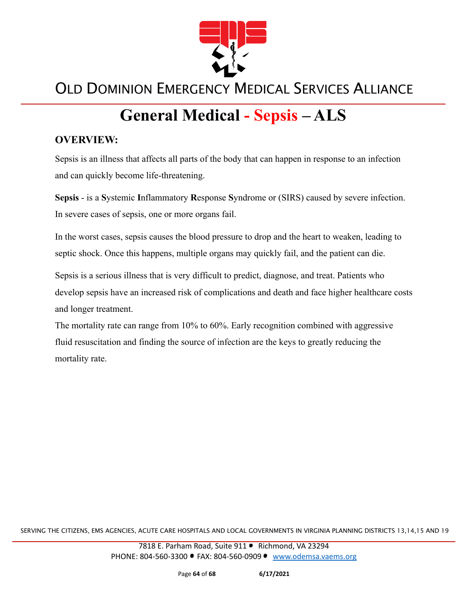

# **General Medical - Sepsis – ALS**

#### **OVERVIEW:**

Sepsis is an illness that affects all parts of the body that can happen in response to an infection and can quickly become life-threatening.

**Sepsis** - is a **S**ystemic **I**nflammatory **R**esponse **S**yndrome or (SIRS) caused by severe infection. In severe cases of sepsis, one or more organs fail.

In the worst cases, sepsis causes the blood pressure to drop and the heart to weaken, leading to septic shock. Once this happens, multiple organs may quickly fail, and the patient can die.

Sepsis is a serious illness that is very difficult to predict, diagnose, and treat. Patients who develop sepsis have an increased risk of complications and death and face higher healthcare costs and longer treatment.

The mortality rate can range from 10% to 60%. Early recognition combined with aggressive fluid resuscitation and finding the source of infection are the keys to greatly reducing the mortality rate.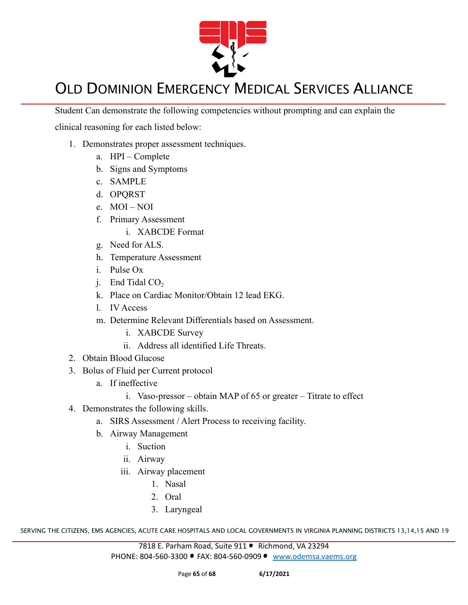

Student Can demonstrate the following competencies without prompting and can explain the

clinical reasoning for each listed below:

- 1. Demonstrates proper assessment techniques.
	- a. HPI Complete
	- b. Signs and Symptoms
	- c. SAMPLE
	- d. OPQRST
	- e. MOI NOI
	- f. Primary Assessment
		- i. XABCDE Format
	- g. Need for ALS.
	- h. Temperature Assessment
	- i. Pulse Ox
	- i. End Tidal  $CO<sub>2</sub>$
	- k. Place on Cardiac Monitor/Obtain 12 lead EKG.
	- l. IV Access
	- m. Determine Relevant Differentials based on Assessment.
		- i. XABCDE Survey
		- ii. Address all identified Life Threats.
- 2. Obtain Blood Glucose
- 3. Bolus of Fluid per Current protocol
	- a. If ineffective
		- i. Vaso-pressor obtain MAP of 65 or greater Titrate to effect
- 4. Demonstrates the following skills.
	- a. SIRS Assessment / Alert Process to receiving facility.
	- b. Airway Management
		- i. Suction
		- ii. Airway
		- iii. Airway placement
			- 1. Nasal
			- 2. Oral
			- 3. Laryngeal

SERVING THE CITIZENS, EMS AGENCIES, ACUTE CARE HOSPITALS AND LOCAL GOVERNMENTS IN VIRGINIA PLANNING DISTRICTS 13,14,15 AND 19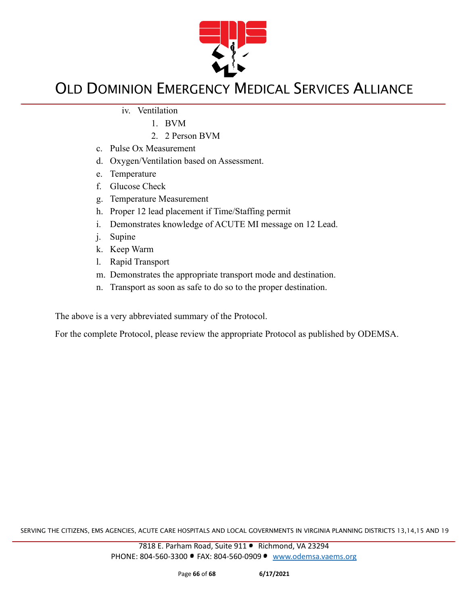

- iv. Ventilation
	- 1. BVM
	- 2. 2 Person BVM
- c. Pulse Ox Measurement
- d. Oxygen/Ventilation based on Assessment.
- e. Temperature
- f. Glucose Check
- g. Temperature Measurement
- h. Proper 12 lead placement if Time/Staffing permit
- i. Demonstrates knowledge of ACUTE MI message on 12 Lead.
- j. Supine
- k. Keep Warm
- l. Rapid Transport
- m. Demonstrates the appropriate transport mode and destination.
- n. Transport as soon as safe to do so to the proper destination.

The above is a very abbreviated summary of the Protocol.

For the complete Protocol, please review the appropriate Protocol as published by ODEMSA.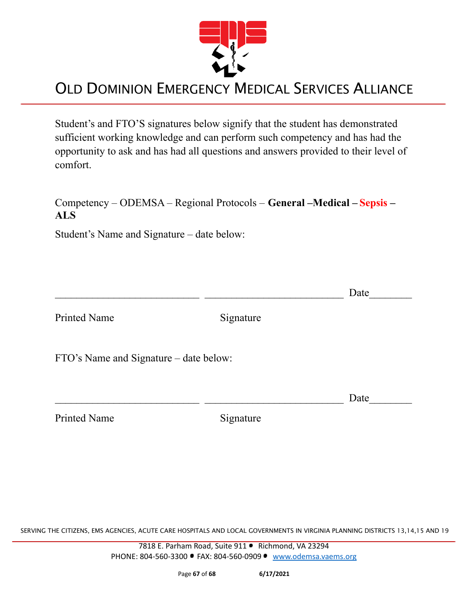

Student's and FTO'S signatures below signify that the student has demonstrated sufficient working knowledge and can perform such competency and has had the opportunity to ask and has had all questions and answers provided to their level of comfort.

#### Competency – ODEMSA – Regional Protocols – **General –Medical – Sepsis – ALS**

Student's Name and Signature – date below:

Printed Name Signature

 $\Box$  Date

FTO's Name and Signature – date below:

Printed Name Signature

SERVING THE CITIZENS, EMS AGENCIES, ACUTE CARE HOSPITALS AND LOCAL GOVERNMENTS IN VIRGINIA PLANNING DISTRICTS 13,14,15 AND 19

7818 E. Parham Road, Suite 911 · Richmond, VA 23294 PHONE: 804-560-3300 • FAX: 804-560-0909 • [www.odemsa.vaems.org](http://www.odemsa.vaems.org)

 $\Box$  Date